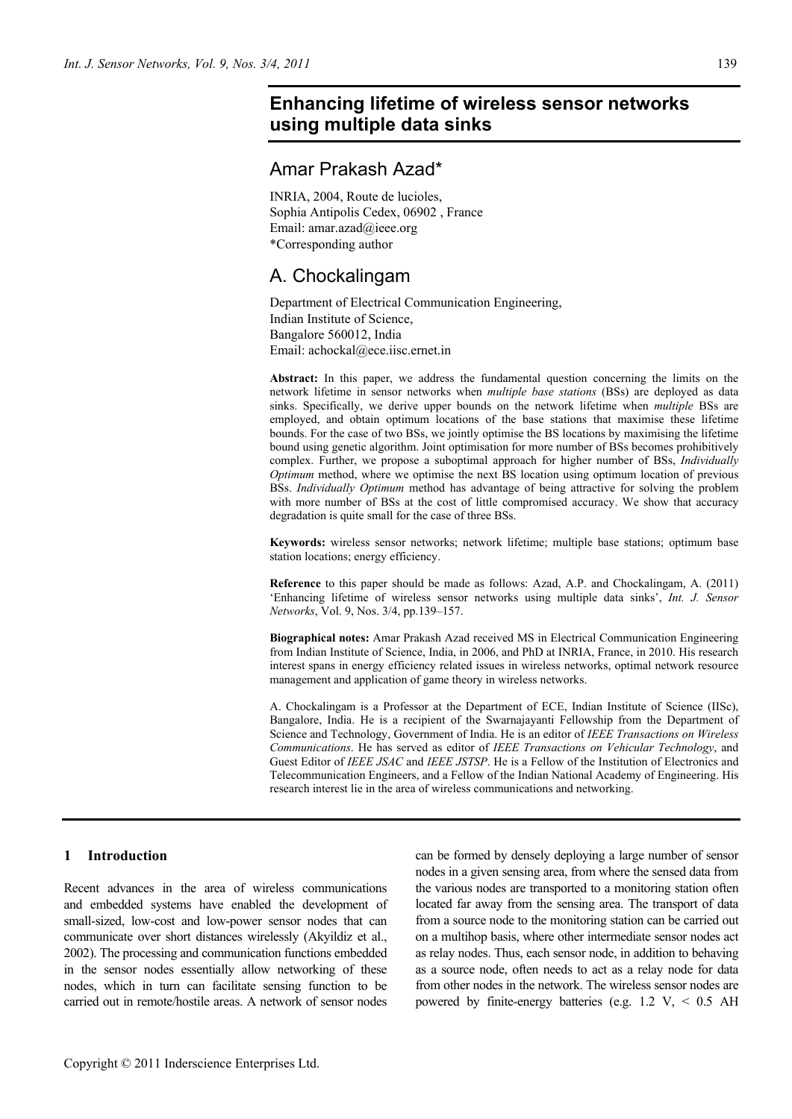# **Enhancing lifetime of wireless sensor networks using multiple data sinks**

# Amar Prakash Azad\*

INRIA, 2004, Route de lucioles, Sophia Antipolis Cedex, 06902 , France Email: amar.azad@ieee.org \*Corresponding author

# A. Chockalingam

Department of Electrical Communication Engineering, Indian Institute of Science, Bangalore 560012, India Email: achockal@ece.iisc.ernet.in

**Abstract:** In this paper, we address the fundamental question concerning the limits on the network lifetime in sensor networks when *multiple base stations* (BSs) are deployed as data sinks. Specifically, we derive upper bounds on the network lifetime when *multiple* BSs are employed, and obtain optimum locations of the base stations that maximise these lifetime bounds. For the case of two BSs, we jointly optimise the BS locations by maximising the lifetime bound using genetic algorithm. Joint optimisation for more number of BSs becomes prohibitively complex. Further, we propose a suboptimal approach for higher number of BSs, *Individually Optimum* method, where we optimise the next BS location using optimum location of previous BSs. *Individually Optimum* method has advantage of being attractive for solving the problem with more number of BSs at the cost of little compromised accuracy. We show that accuracy degradation is quite small for the case of three BSs.

**Keywords:** wireless sensor networks; network lifetime; multiple base stations; optimum base station locations; energy efficiency.

**Reference** to this paper should be made as follows: Azad, A.P. and Chockalingam, A. (2011) 'Enhancing lifetime of wireless sensor networks using multiple data sinks', *Int. J. Sensor Networks*, Vol. 9, Nos. 3/4, pp.139–157.

**Biographical notes:** Amar Prakash Azad received MS in Electrical Communication Engineering from Indian Institute of Science, India, in 2006, and PhD at INRIA, France, in 2010. His research interest spans in energy efficiency related issues in wireless networks, optimal network resource management and application of game theory in wireless networks.

A. Chockalingam is a Professor at the Department of ECE, Indian Institute of Science (IISc), Bangalore, India. He is a recipient of the Swarnajayanti Fellowship from the Department of Science and Technology, Government of India. He is an editor of *IEEE Transactions on Wireless Communications*. He has served as editor of *IEEE Transactions on Vehicular Technology*, and Guest Editor of *IEEE JSAC* and *IEEE JSTSP*. He is a Fellow of the Institution of Electronics and Telecommunication Engineers, and a Fellow of the Indian National Academy of Engineering. His research interest lie in the area of wireless communications and networking.

# **1 Introduction**

Recent advances in the area of wireless communications and embedded systems have enabled the development of small-sized, low-cost and low-power sensor nodes that can communicate over short distances wirelessly (Akyildiz et al., 2002). The processing and communication functions embedded in the sensor nodes essentially allow networking of these nodes, which in turn can facilitate sensing function to be carried out in remote/hostile areas. A network of sensor nodes

can be formed by densely deploying a large number of sensor nodes in a given sensing area, from where the sensed data from the various nodes are transported to a monitoring station often located far away from the sensing area. The transport of data from a source node to the monitoring station can be carried out on a multihop basis, where other intermediate sensor nodes act as relay nodes. Thus, each sensor node, in addition to behaving as a source node, often needs to act as a relay node for data from other nodes in the network. The wireless sensor nodes are powered by finite-energy batteries (e.g.  $1.2 \text{ V}$ ,  $\lt 0.5 \text{ AH}$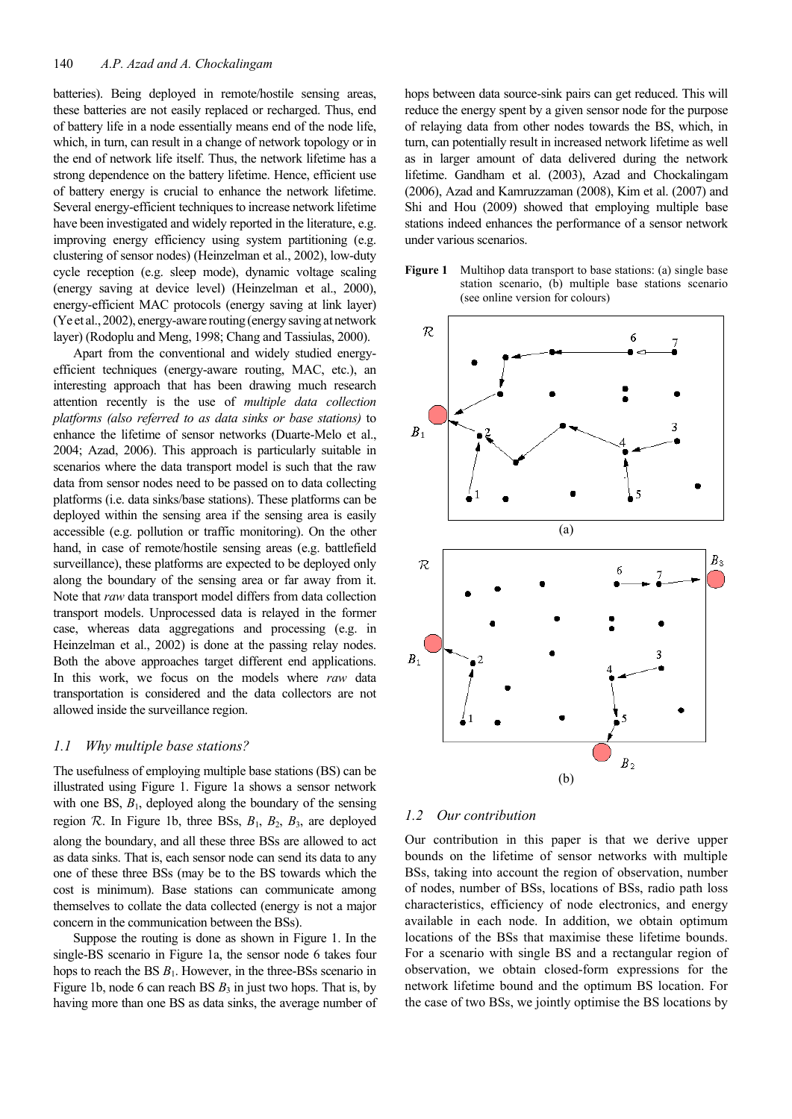batteries). Being deployed in remote/hostile sensing areas, these batteries are not easily replaced or recharged. Thus, end of battery life in a node essentially means end of the node life, which, in turn, can result in a change of network topology or in the end of network life itself. Thus, the network lifetime has a strong dependence on the battery lifetime. Hence, efficient use of battery energy is crucial to enhance the network lifetime. Several energy-efficient techniques to increase network lifetime have been investigated and widely reported in the literature, e.g. improving energy efficiency using system partitioning (e.g. clustering of sensor nodes) (Heinzelman et al., 2002), low-duty cycle reception (e.g. sleep mode), dynamic voltage scaling (energy saving at device level) (Heinzelman et al., 2000), energy-efficient MAC protocols (energy saving at link layer) (Ye et al., 2002), energy-aware routing (energy saving at network layer) (Rodoplu and Meng, 1998; Chang and Tassiulas, 2000).

Apart from the conventional and widely studied energyefficient techniques (energy-aware routing, MAC, etc.), an interesting approach that has been drawing much research attention recently is the use of *multiple data collection platforms (also referred to as data sinks or base stations)* to enhance the lifetime of sensor networks (Duarte-Melo et al., 2004; Azad, 2006). This approach is particularly suitable in scenarios where the data transport model is such that the raw data from sensor nodes need to be passed on to data collecting platforms (i.e. data sinks/base stations). These platforms can be deployed within the sensing area if the sensing area is easily accessible (e.g. pollution or traffic monitoring). On the other hand, in case of remote/hostile sensing areas (e.g. battlefield surveillance), these platforms are expected to be deployed only along the boundary of the sensing area or far away from it. Note that *raw* data transport model differs from data collection transport models. Unprocessed data is relayed in the former case, whereas data aggregations and processing (e.g. in Heinzelman et al., 2002) is done at the passing relay nodes. Both the above approaches target different end applications. In this work, we focus on the models where *raw* data transportation is considered and the data collectors are not allowed inside the surveillance region.

## *1.1 Why multiple base stations?*

The usefulness of employing multiple base stations (BS) can be illustrated using Figure 1. Figure 1a shows a sensor network with one BS,  $B_1$ , deployed along the boundary of the sensing region  $R$ . In Figure 1b, three BSs,  $B_1$ ,  $B_2$ ,  $B_3$ , are deployed along the boundary, and all these three BSs are allowed to act as data sinks. That is, each sensor node can send its data to any one of these three BSs (may be to the BS towards which the cost is minimum). Base stations can communicate among themselves to collate the data collected (energy is not a major concern in the communication between the BSs).

Suppose the routing is done as shown in Figure 1. In the single-BS scenario in Figure 1a, the sensor node 6 takes four hops to reach the BS  $B_1$ . However, in the three-BSs scenario in Figure 1b, node 6 can reach BS  $B_3$  in just two hops. That is, by having more than one BS as data sinks, the average number of hops between data source-sink pairs can get reduced. This will reduce the energy spent by a given sensor node for the purpose of relaying data from other nodes towards the BS, which, in turn, can potentially result in increased network lifetime as well as in larger amount of data delivered during the network lifetime. Gandham et al. (2003), Azad and Chockalingam (2006), Azad and Kamruzzaman (2008), Kim et al. (2007) and Shi and Hou (2009) showed that employing multiple base stations indeed enhances the performance of a sensor network under various scenarios.





#### *1.2 Our contribution*

Our contribution in this paper is that we derive upper bounds on the lifetime of sensor networks with multiple BSs, taking into account the region of observation, number of nodes, number of BSs, locations of BSs, radio path loss characteristics, efficiency of node electronics, and energy available in each node. In addition, we obtain optimum locations of the BSs that maximise these lifetime bounds. For a scenario with single BS and a rectangular region of observation, we obtain closed-form expressions for the network lifetime bound and the optimum BS location. For the case of two BSs, we jointly optimise the BS locations by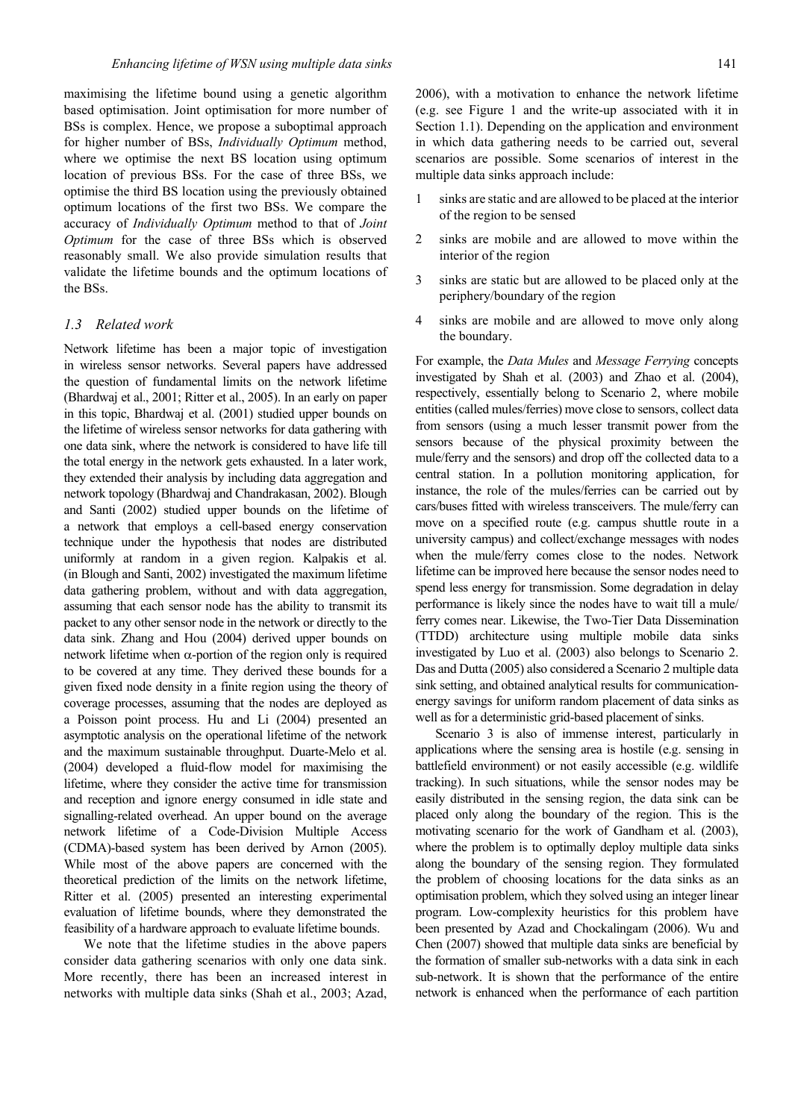maximising the lifetime bound using a genetic algorithm based optimisation. Joint optimisation for more number of BSs is complex. Hence, we propose a suboptimal approach for higher number of BSs, *Individually Optimum* method, where we optimise the next BS location using optimum location of previous BSs. For the case of three BSs, we optimise the third BS location using the previously obtained optimum locations of the first two BSs. We compare the accuracy of *Individually Optimum* method to that of *Joint Optimum* for the case of three BSs which is observed reasonably small. We also provide simulation results that validate the lifetime bounds and the optimum locations of the BSs.

## *1.3 Related work*

Network lifetime has been a major topic of investigation in wireless sensor networks. Several papers have addressed the question of fundamental limits on the network lifetime (Bhardwaj et al., 2001; Ritter et al., 2005). In an early on paper in this topic, Bhardwaj et al. (2001) studied upper bounds on the lifetime of wireless sensor networks for data gathering with one data sink, where the network is considered to have life till the total energy in the network gets exhausted. In a later work, they extended their analysis by including data aggregation and network topology (Bhardwaj and Chandrakasan, 2002). Blough and Santi (2002) studied upper bounds on the lifetime of a network that employs a cell-based energy conservation technique under the hypothesis that nodes are distributed uniformly at random in a given region. Kalpakis et al. (in Blough and Santi, 2002) investigated the maximum lifetime data gathering problem, without and with data aggregation, assuming that each sensor node has the ability to transmit its packet to any other sensor node in the network or directly to the data sink. Zhang and Hou (2004) derived upper bounds on network lifetime when  $\alpha$ -portion of the region only is required to be covered at any time. They derived these bounds for a given fixed node density in a finite region using the theory of coverage processes, assuming that the nodes are deployed as a Poisson point process. Hu and Li (2004) presented an asymptotic analysis on the operational lifetime of the network and the maximum sustainable throughput. Duarte-Melo et al. (2004) developed a fluid-flow model for maximising the lifetime, where they consider the active time for transmission and reception and ignore energy consumed in idle state and signalling-related overhead. An upper bound on the average network lifetime of a Code-Division Multiple Access (CDMA)-based system has been derived by Arnon (2005). While most of the above papers are concerned with the theoretical prediction of the limits on the network lifetime, Ritter et al. (2005) presented an interesting experimental evaluation of lifetime bounds, where they demonstrated the feasibility of a hardware approach to evaluate lifetime bounds.

We note that the lifetime studies in the above papers consider data gathering scenarios with only one data sink. More recently, there has been an increased interest in networks with multiple data sinks (Shah et al., 2003; Azad, 2006), with a motivation to enhance the network lifetime (e.g. see Figure 1 and the write-up associated with it in Section 1.1). Depending on the application and environment in which data gathering needs to be carried out, several scenarios are possible. Some scenarios of interest in the multiple data sinks approach include:

- 1 sinks are static and are allowed to be placed at the interior of the region to be sensed
- 2 sinks are mobile and are allowed to move within the interior of the region
- 3 sinks are static but are allowed to be placed only at the periphery/boundary of the region
- 4 sinks are mobile and are allowed to move only along the boundary.

For example, the *Data Mules* and *Message Ferrying* concepts investigated by Shah et al. (2003) and Zhao et al. (2004), respectively, essentially belong to Scenario 2, where mobile entities(called mules/ferries) move close to sensors, collect data from sensors (using a much lesser transmit power from the sensors because of the physical proximity between the mule/ferry and the sensors) and drop off the collected data to a central station. In a pollution monitoring application, for instance, the role of the mules/ferries can be carried out by cars/buses fitted with wireless transceivers. The mule/ferry can move on a specified route (e.g. campus shuttle route in a university campus) and collect/exchange messages with nodes when the mule/ferry comes close to the nodes. Network lifetime can be improved here because the sensor nodes need to spend less energy for transmission. Some degradation in delay performance is likely since the nodes have to wait till a mule/ ferry comes near. Likewise, the Two-Tier Data Dissemination (TTDD) architecture using multiple mobile data sinks investigated by Luo et al. (2003) also belongs to Scenario 2. Das and Dutta (2005) also considered a Scenario 2 multiple data sink setting, and obtained analytical results for communicationenergy savings for uniform random placement of data sinks as well as for a deterministic grid-based placement of sinks.

Scenario 3 is also of immense interest, particularly in applications where the sensing area is hostile (e.g. sensing in battlefield environment) or not easily accessible (e.g. wildlife tracking). In such situations, while the sensor nodes may be easily distributed in the sensing region, the data sink can be placed only along the boundary of the region. This is the motivating scenario for the work of Gandham et al. (2003), where the problem is to optimally deploy multiple data sinks along the boundary of the sensing region. They formulated the problem of choosing locations for the data sinks as an optimisation problem, which they solved using an integer linear program. Low-complexity heuristics for this problem have been presented by Azad and Chockalingam (2006). Wu and Chen (2007) showed that multiple data sinks are beneficial by the formation of smaller sub-networks with a data sink in each sub-network. It is shown that the performance of the entire network is enhanced when the performance of each partition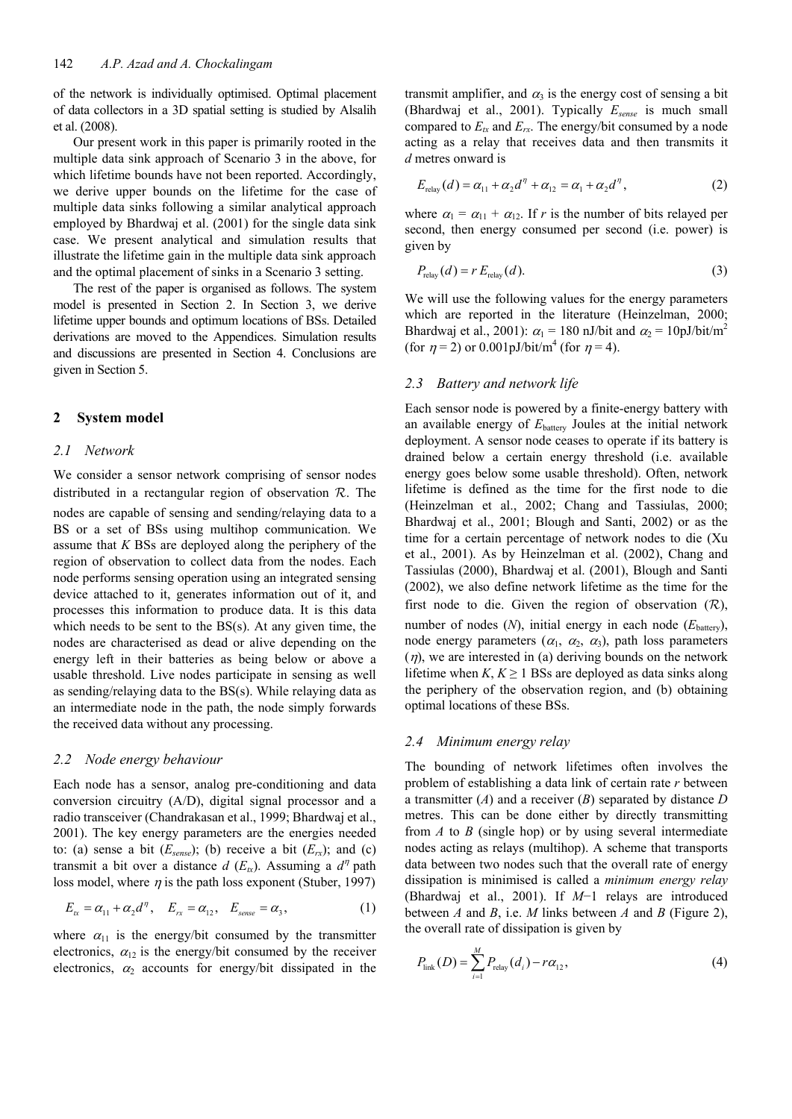of the network is individually optimised. Optimal placement of data collectors in a 3D spatial setting is studied by Alsalih et al. (2008).

Our present work in this paper is primarily rooted in the multiple data sink approach of Scenario 3 in the above, for which lifetime bounds have not been reported. Accordingly, we derive upper bounds on the lifetime for the case of multiple data sinks following a similar analytical approach employed by Bhardwaj et al. (2001) for the single data sink case. We present analytical and simulation results that illustrate the lifetime gain in the multiple data sink approach and the optimal placement of sinks in a Scenario 3 setting.

The rest of the paper is organised as follows. The system model is presented in Section 2. In Section 3, we derive lifetime upper bounds and optimum locations of BSs. Detailed derivations are moved to the Appendices. Simulation results and discussions are presented in Section 4. Conclusions are given in Section 5.

## **2 System model**

## *2.1 Network*

We consider a sensor network comprising of sensor nodes distributed in a rectangular region of observation  $R$ . The nodes are capable of sensing and sending/relaying data to a BS or a set of BSs using multihop communication. We assume that *K* BSs are deployed along the periphery of the region of observation to collect data from the nodes. Each node performs sensing operation using an integrated sensing device attached to it, generates information out of it, and processes this information to produce data. It is this data which needs to be sent to the BS(s). At any given time, the nodes are characterised as dead or alive depending on the energy left in their batteries as being below or above a usable threshold. Live nodes participate in sensing as well as sending/relaying data to the BS(s). While relaying data as an intermediate node in the path, the node simply forwards the received data without any processing.

#### *2.2 Node energy behaviour*

Each node has a sensor, analog pre-conditioning and data conversion circuitry (A/D), digital signal processor and a radio transceiver (Chandrakasan et al., 1999; Bhardwaj et al., 2001). The key energy parameters are the energies needed to: (a) sense a bit  $(E_{\text{sense}})$ ; (b) receive a bit  $(E_{rx})$ ; and (c) transmit a bit over a distance  $d$  ( $E<sub>xx</sub>$ ). Assuming a  $d<sup>η</sup>$  path loss model, where  $\eta$  is the path loss exponent (Stuber, 1997)

$$
E_{tx} = \alpha_{11} + \alpha_2 d^{\eta}, \quad E_{rx} = \alpha_{12}, \quad E_{\text{sense}} = \alpha_3, \tag{1}
$$

where  $\alpha_{11}$  is the energy/bit consumed by the transmitter electronics,  $\alpha_{12}$  is the energy/bit consumed by the receiver electronics,  $\alpha_2$  accounts for energy/bit dissipated in the transmit amplifier, and  $\alpha_3$  is the energy cost of sensing a bit (Bhardwaj et al., 2001). Typically *Esense* is much small compared to  $E_{tx}$  and  $E_{rx}$ . The energy/bit consumed by a node acting as a relay that receives data and then transmits it *d* metres onward is

$$
E_{\text{relay}}(d) = \alpha_{11} + \alpha_2 d^{\eta} + \alpha_{12} = \alpha_1 + \alpha_2 d^{\eta}, \tag{2}
$$

where  $\alpha_1 = \alpha_{11} + \alpha_{12}$ . If *r* is the number of bits relayed per second, then energy consumed per second (i.e. power) is given by

$$
P_{\text{relay}}(d) = r E_{\text{relay}}(d). \tag{3}
$$

We will use the following values for the energy parameters which are reported in the literature (Heinzelman, 2000; Bhardwaj et al., 2001):  $\alpha_1 = 180$  nJ/bit and  $\alpha_2 = 10$ pJ/bit/m<sup>2</sup> (for  $\eta = 2$ ) or 0.001pJ/bit/m<sup>4</sup> (for  $\eta = 4$ ).

## *2.3 Battery and network life*

Each sensor node is powered by a finite-energy battery with an available energy of  $E<sub>battery</sub>$  Joules at the initial network deployment. A sensor node ceases to operate if its battery is drained below a certain energy threshold (i.e. available energy goes below some usable threshold). Often, network lifetime is defined as the time for the first node to die (Heinzelman et al., 2002; Chang and Tassiulas, 2000; Bhardwaj et al., 2001; Blough and Santi, 2002) or as the time for a certain percentage of network nodes to die (Xu et al., 2001). As by Heinzelman et al. (2002), Chang and Tassiulas (2000), Bhardwaj et al. (2001), Blough and Santi (2002), we also define network lifetime as the time for the first node to die. Given the region of observation  $(\mathcal{R})$ , number of nodes  $(N)$ , initial energy in each node  $(E_{\text{battery}})$ , node energy parameters  $(\alpha_1, \alpha_2, \alpha_3)$ , path loss parameters  $(\eta)$ , we are interested in (a) deriving bounds on the network lifetime when  $K, K \geq 1$  BSs are deployed as data sinks along the periphery of the observation region, and (b) obtaining optimal locations of these BSs.

#### *2.4 Minimum energy relay*

The bounding of network lifetimes often involves the problem of establishing a data link of certain rate *r* between a transmitter (*A*) and a receiver (*B*) separated by distance *D* metres. This can be done either by directly transmitting from *A* to *B* (single hop) or by using several intermediate nodes acting as relays (multihop). A scheme that transports data between two nodes such that the overall rate of energy dissipation is minimised is called a *minimum energy relay*  (Bhardwaj et al., 2001). If *M*−1 relays are introduced between *A* and *B*, i.e. *M* links between *A* and *B* (Figure 2), the overall rate of dissipation is given by

$$
P_{\text{link}}(D) = \sum_{i=1}^{M} P_{\text{relay}}(d_i) - r\alpha_{12},
$$
\n(4)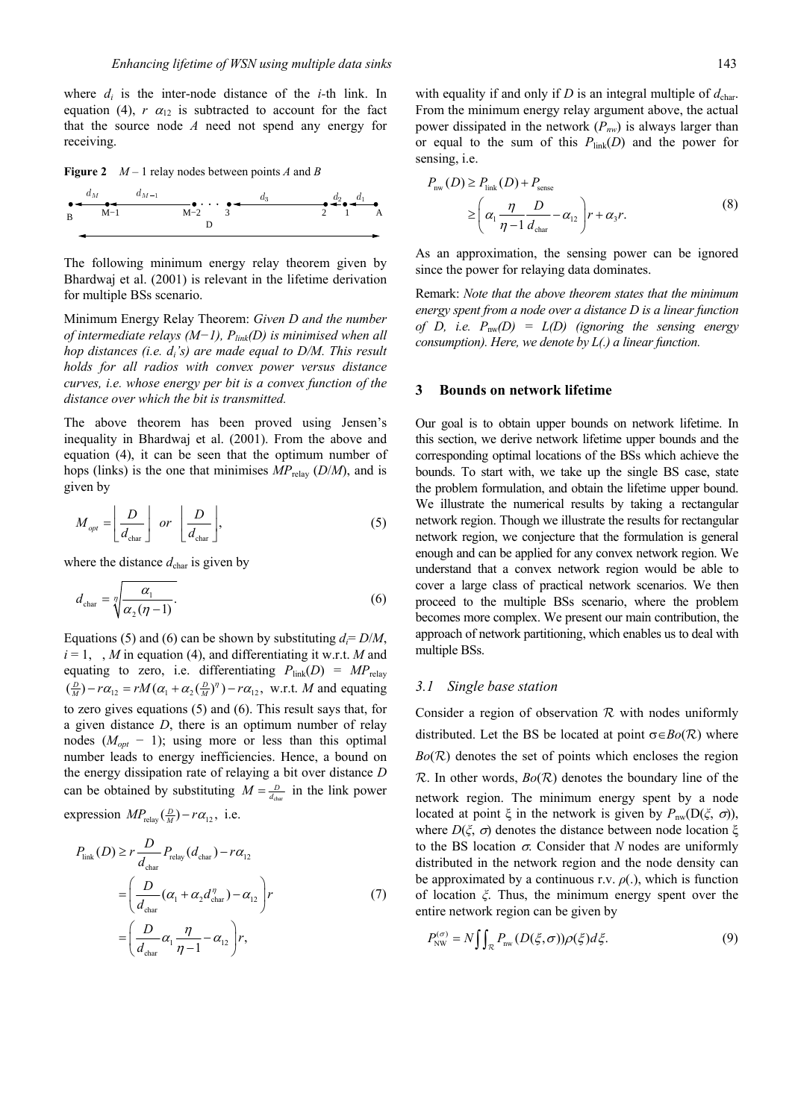where  $d_i$  is the inter-node distance of the *i*-th link. In equation (4),  $r \alpha_{12}$  is subtracted to account for the fact that the source node *A* need not spend any energy for receiving.

**Figure 2** *M* – 1 relay nodes between points *A* and *B*



The following minimum energy relay theorem given by Bhardwaj et al. (2001) is relevant in the lifetime derivation for multiple BSs scenario.

Minimum Energy Relay Theorem: *Given D and the number of intermediate relays (M−1), P*<sub>link</sub>(D) is minimised when all *hop distances (i.e. di's) are made equal to D/M. This result holds for all radios with convex power versus distance curves, i.e. whose energy per bit is a convex function of the distance over which the bit is transmitted.*

The above theorem has been proved using Jensen's inequality in Bhardwaj et al. (2001). From the above and equation (4), it can be seen that the optimum number of hops (links) is the one that minimises  $MP_{\text{relay}}(D/M)$ , and is given by

$$
M_{opt} = \left\lfloor \frac{D}{d_{\text{char}}} \right\rfloor \text{ or } \left\lfloor \frac{D}{d_{\text{char}}} \right\rfloor,\tag{5}
$$

where the distance  $d_{\text{char}}$  is given by

$$
d_{\text{char}} = \sqrt[n]{\frac{\alpha_1}{\alpha_2(\eta - 1)}}.
$$
\n(6)

Equations (5) and (6) can be shown by substituting  $d = D/M$ ,  $i = 1, \dots, M$  in equation (4), and differentiating it w.r.t. *M* and equating to zero, i.e. differentiating  $P_{\text{link}}(D) = MP_{\text{relay}}$  $\left(\frac{D}{M}\right) - r\alpha_{12} = rM(\alpha_1 + \alpha_2(\frac{D}{M})^n) - r\alpha_{12}$ , w.r.t. *M* and equating to zero gives equations (5) and (6). This result says that, for a given distance *D*, there is an optimum number of relay nodes  $(M_{\text{out}} - 1)$ ; using more or less than this optimal number leads to energy inefficiencies. Hence, a bound on the energy dissipation rate of relaying a bit over distance *D* can be obtained by substituting  $M = \frac{D}{d_{\text{char}}}$  in the link power

expression  $MP_{\text{relay}}(\frac{D}{M}) - r\alpha_{12}$ , i.e.

$$
P_{\text{link}}(D) \ge r \frac{D}{d_{\text{char}}} P_{\text{relay}}(d_{\text{char}}) - r\alpha_{12}
$$
  
=  $\left(\frac{D}{d_{\text{char}}}(\alpha_1 + \alpha_2 d_{\text{char}}^{\eta}) - \alpha_{12}\right) r$  (7)  
=  $\left(\frac{D}{d_{\text{char}}} \alpha_1 \frac{\eta}{\eta - 1} - \alpha_{12}\right) r$ ,

with equality if and only if  $D$  is an integral multiple of  $d_{\text{char}}$ . From the minimum energy relay argument above, the actual power dissipated in the network (*Pnw*) is always larger than or equal to the sum of this  $P_{link}(D)$  and the power for sensing, i.e.

$$
P_{\text{nw}}(D) \ge P_{\text{link}}(D) + P_{\text{sense}}\n\ge \left(\alpha_1 \frac{\eta}{\eta - 1} \frac{D}{d_{\text{char}}} - \alpha_{12}\right) r + \alpha_3 r.
$$
\n(8)

As an approximation, the sensing power can be ignored since the power for relaying data dominates.

Remark: *Note that the above theorem states that the minimum energy spent from a node over a distance D is a linear function of D, i.e. P*nw*(D) = L(D) (ignoring the sensing energy consumption). Here, we denote by L(.) a linear function.* 

#### **3 Bounds on network lifetime**

Our goal is to obtain upper bounds on network lifetime. In this section, we derive network lifetime upper bounds and the corresponding optimal locations of the BSs which achieve the bounds. To start with, we take up the single BS case, state the problem formulation, and obtain the lifetime upper bound. We illustrate the numerical results by taking a rectangular network region. Though we illustrate the results for rectangular network region, we conjecture that the formulation is general enough and can be applied for any convex network region. We understand that a convex network region would be able to cover a large class of practical network scenarios. We then proceed to the multiple BSs scenario, where the problem becomes more complex. We present our main contribution, the approach of network partitioning, which enables us to deal with multiple BSs.

### *3.1 Single base station*

Consider a region of observation  $R$  with nodes uniformly distributed. Let the BS be located at point  $\sigma \in Bo(\mathcal{R})$  where  $Bo(R)$  denotes the set of points which encloses the region  $\mathcal R$ . In other words,  $Bo(\mathcal R)$  denotes the boundary line of the network region. The minimum energy spent by a node located at point ξ in the network is given by  $P_{nw}(D(\xi, \sigma))$ , where *D*( $\xi$ , *σ*) denotes the distance between node location  $\xi$ to the BS location  $\sigma$ . Consider that *N* nodes are uniformly distributed in the network region and the node density can be approximated by a continuous r.v.  $\rho(.)$ , which is function of location *ξ*. Thus, the minimum energy spent over the entire network region can be given by

$$
P_{\text{NW}}^{(\sigma)} = N \iint_{\mathcal{R}} P_{\text{nw}}(D(\xi, \sigma)) \rho(\xi) d\xi.
$$
 (9)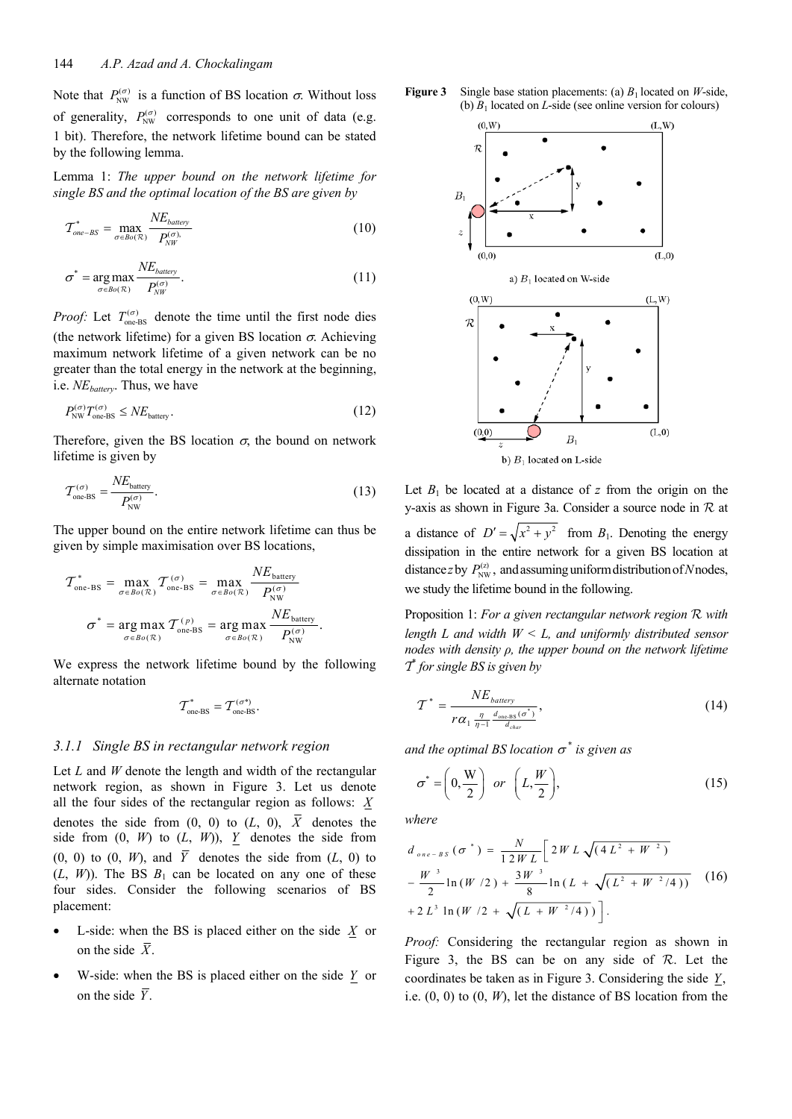Note that  $P_{NW}^{(\sigma)}$  is a function of BS location  $\sigma$ . Without loss of generality,  $P_{NW}^{(\sigma)}$  corresponds to one unit of data (e.g. 1 bit). Therefore, the network lifetime bound can be stated by the following lemma.

Lemma 1: *The upper bound on the network lifetime for single BS and the optimal location of the BS are given by*

$$
\mathcal{T}_{one-BS}^* = \max_{\sigma \in \text{Bo}(\mathcal{R})} \frac{NE_{battery}}{P_{\text{N}W}^{(\sigma)}}
$$
(10)

$$
\sigma^* = \underset{\sigma \in Bo(\mathcal{R})}{\arg \max} \frac{NE_{battery}}{P_{NW}^{(\sigma)}}.
$$
\n(11)

*Proof:* Let  $T_{one-BS}^{(\sigma)}$  denote the time until the first node dies (the network lifetime) for a given BS location  $\sigma$ . Achieving maximum network lifetime of a given network can be no greater than the total energy in the network at the beginning, i.e. *NEbattery*. Thus, we have

$$
P_{\text{NW}}^{(\sigma)} T_{\text{one-BS}}^{(\sigma)} \leq N E_{\text{battery}}.
$$
\n(12)

Therefore, given the BS location  $\sigma$ , the bound on network lifetime is given by

$$
\mathcal{T}_{\text{one-BS}}^{(\sigma)} = \frac{NE_{\text{battery}}}{P_{\text{NW}}^{(\sigma)}}.
$$
\n(13)

The upper bound on the entire network lifetime can thus be given by simple maximisation over BS locations,

$$
\mathcal{T}_{\text{one-BS}}^* = \max_{\sigma \in Bo(\mathcal{R})} \mathcal{T}_{\text{one-BS}}^{(\sigma)} = \max_{\sigma \in Bo(\mathcal{R})} \frac{NE_{\text{battery}}}{P_{\text{NW}}^{(\sigma)}}
$$

$$
\sigma^* = \underset{\sigma \in Bo(\mathcal{R})}{\arg \max} \mathcal{T}_{\text{one-BS}}^{(p)} = \underset{\sigma \in Bo(\mathcal{R})}{\arg \max} \frac{NE_{\text{battery}}}{P_{\text{NW}}^{(\sigma)}}.
$$

We express the network lifetime bound by the following alternate notation

$$
\boldsymbol{\mathcal{T}}_{\text{one-BS}}^* = \boldsymbol{\mathcal{T}}_{\text{one-BS}}^{(\sigma^*)}.
$$

# *3.1.1 Single BS in rectangular network region*

Let *L* and *W* denote the length and width of the rectangular network region, as shown in Figure 3. Let us denote all the four sides of the rectangular region as follows: *X* denotes the side from  $(0, 0)$  to  $(L, 0)$ ,  $\overline{X}$  denotes the side from  $(0, W)$  to  $(L, W)$ , *Y* denotes the side from  $(0, 0)$  to  $(0, W)$ , and  $\overline{Y}$  denotes the side from  $(L, 0)$  to  $(L, W)$ ). The BS  $B_1$  can be located on any one of these four sides. Consider the following scenarios of BS placement:

- L-side: when the BS is placed either on the side  $\overline{X}$  or on the side  $\bar{X}$ .
- W-side: when the BS is placed either on the side *Y* or on the side  $\overline{Y}$ .





Let  $B_1$  be located at a distance of  $z$  from the origin on the y-axis as shown in Figure 3a. Consider a source node in  $R$  at a distance of  $D' = \sqrt{x^2 + y^2}$  from  $B_1$ . Denoting the energy dissipation in the entire network for a given BS location at distance *z* by  $P_{NW}^{(z)}$ , and assuming uniform distribution of *N* nodes, we study the lifetime bound in the following.

Proposition 1: *For a given rectangular network region* R *with length L and width W < L, and uniformly distributed sensor nodes with density ρ, the upper bound on the network lifetime* T\* *for single BS is given by* 

$$
\mathcal{T}^* = \frac{NE_{battery}}{r\alpha_1 \frac{\eta}{\eta - 1} \frac{d_{\text{one-hs}}(\sigma^*)}{d_{\text{char}}}},\tag{14}
$$

and the optimal BS location  $\sigma^*$  is given as

$$
\sigma^* = \left(0, \frac{W}{2}\right) \text{ or } \left(L, \frac{W}{2}\right),\tag{15}
$$

*where* 

$$
d_{one-BS}(\sigma^*) = \frac{N}{12WL} \Big[ 2WL \sqrt{(4L^2 + W^2)} - \frac{W^3}{2} \ln(W/2) + \frac{3W^3}{8} \ln(L + \sqrt{(L^2 + W^2/4)}) - 2L^3 \ln(W/2 + \sqrt{(L + W^2/4)}) \Big].
$$
 (16)

*Proof:* Considering the rectangular region as shown in Figure 3, the BS can be on any side of  $R$ . Let the coordinates be taken as in Figure 3. Considering the side *Y*, i.e.  $(0, 0)$  to  $(0, W)$ , let the distance of BS location from the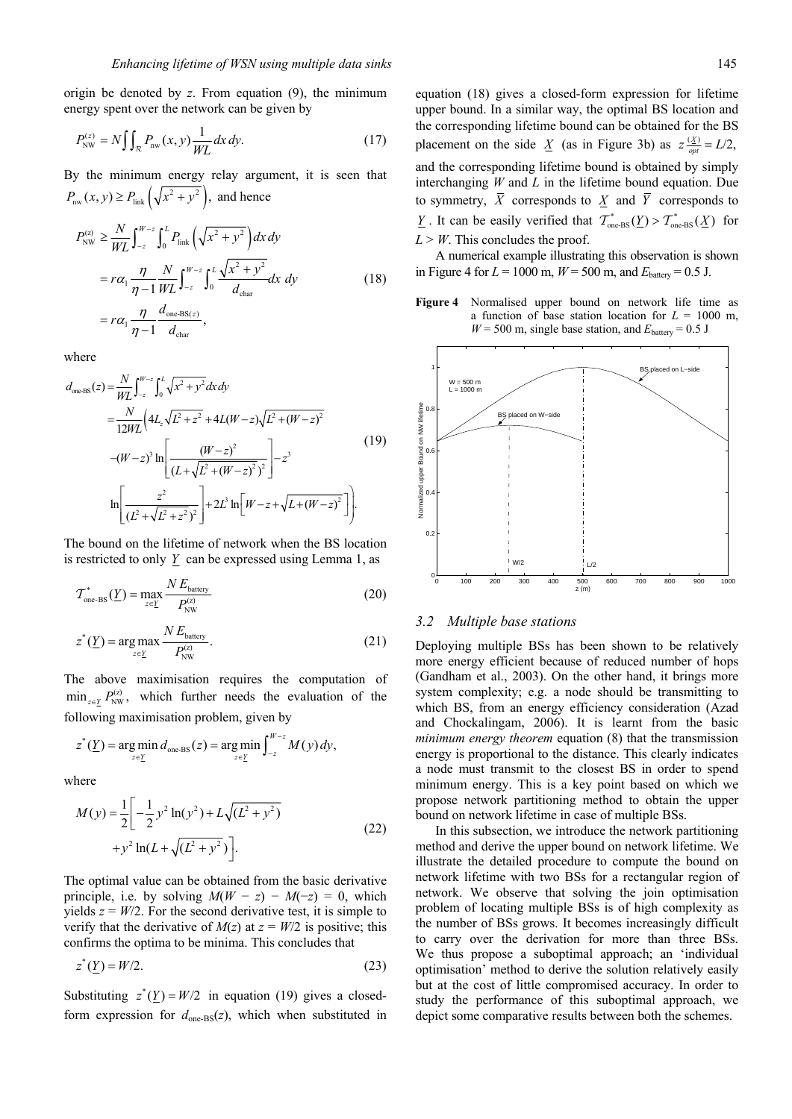origin be denoted by *z*. From equation (9), the minimum energy spent over the network can be given by

$$
P_{\text{NW}}^{(z)} = N \iint_{\mathcal{R}} P_{\text{nw}}(x, y) \frac{1}{WL} dx dy.
$$
 (17)

By the minimum energy relay argument, it is seen that  $P_{\text{nw}}(x, y) \ge P_{\text{link}}\left(\sqrt{x^2 + y^2}\right)$ , and hence

$$
P_{NW}^{(z)} \ge \frac{N}{WL} \int_{-z}^{W-z} \int_{0}^{L} P_{link} \left( \sqrt{x^2 + y^2} \right) dx dy
$$
  
=  $r \alpha_1 \frac{\eta}{\eta - 1} \frac{N}{WL} \int_{-z}^{W-z} \int_{0}^{L} \frac{\sqrt{x^2 + y^2}}{d_{char}} dx dy$  (18)  
=  $r \alpha_1 \frac{\eta}{\eta - 1} \frac{d_{one-BS(z)}}{d_{char}},$ 

where

$$
d_{one\text{BS}}(z) = \frac{N}{WL} \int_{-z}^{W-z} \int_{0}^{L} \sqrt{x^2 + y^2} dx dy
$$
  
\n
$$
= \frac{N}{12WL} \left( 4L_z \sqrt{L^2 + z^2} + 4L(W - z) \sqrt{L^2 + (W - z)^2} \right)
$$
  
\n
$$
-(W - z)^3 \ln \left[ \frac{(W - z)^2}{(L + \sqrt{L^2 + (W - z)^2})^2} \right] - z^3
$$
  
\n
$$
\ln \left[ \frac{z^2}{(L^2 + \sqrt{L^2 + z^2})^2} \right] + 2L^3 \ln \left[ W - z + \sqrt{L + (W - z)^2} \right].
$$
\n(19)

The bound on the lifetime of network when the BS location is restricted to only  $Y$  can be expressed using Lemma 1, as

$$
\mathcal{T}_{\text{one-BS}}^{*}(\underline{Y}) = \max_{z \in \underline{Y}} \frac{NE_{\text{battery}}}{P_{\text{NW}}^{(z)}} \tag{20}
$$

$$
z^*(\underline{Y}) = \underset{z \in \underline{Y}}{\arg \max} \frac{N E_{\text{battery}}}{P_{\text{NW}}^{\text{(z)}}}.
$$
 (21)

The above maximisation requires the computation of  $\min_{z \in Y} P_{NW}^{(z)}$ , which further needs the evaluation of the following maximisation problem, given by

$$
z^*(\underline{Y}) = \argmin_{z \in \underline{Y}} d_{\text{one-BS}}(z) = \argmin_{z \in \underline{Y}} \int_{-z}^{W-z} M(y) dy,
$$

where

$$
M(y) = \frac{1}{2} \left[ -\frac{1}{2} y^2 \ln(y^2) + L \sqrt{(L^2 + y^2)} + y^2 \ln(L + \sqrt{(L^2 + y^2)}) \right].
$$
 (22)

The optimal value can be obtained from the basic derivative principle, i.e. by solving  $M(W - z) - M(-z) = 0$ , which yields  $z = W/2$ . For the second derivative test, it is simple to verify that the derivative of  $M(z)$  at  $z = W/2$  is positive; this confirms the optima to be minima. This concludes that

$$
z^*(\underline{Y}) = W/2. \tag{23}
$$

Substituting  $z^*(Y) = W/2$  in equation (19) gives a closedform expression for  $d_{one\text{-}BS}(z)$ , which when substituted in

equation (18) gives a closed-form expression for lifetime upper bound. In a similar way, the optimal BS location and the corresponding lifetime bound can be obtained for the BS placement on the side  $\underline{X}$  (as in Figure 3b) as  $z \frac{X}{opt} = L/2$ , and the corresponding lifetime bound is obtained by simply interchanging *W* and *L* in the lifetime bound equation. Due to symmetry,  $\overline{X}$  corresponds to  $X$  and  $\overline{Y}$  corresponds to *<u>Y</u>*. It can be easily verified that  $\mathcal{T}_{one-BS}^*(\underline{Y}) > \mathcal{T}_{one-BS}^*(\underline{X})$  for  $L > W$ . This concludes the proof.

A numerical example illustrating this observation is shown in Figure 4 for  $L = 1000$  m,  $W = 500$  m, and  $E_{\text{battery}} = 0.5$  J.

**Figure 4** Normalised upper bound on network life time as a function of base station location for  $L = 1000$  m,  $W = 500$  m, single base station, and  $E_{\text{battery}} = 0.5$  J



#### *3.2 Multiple base stations*

Deploying multiple BSs has been shown to be relatively more energy efficient because of reduced number of hops (Gandham et al., 2003). On the other hand, it brings more system complexity; e.g. a node should be transmitting to which BS, from an energy efficiency consideration (Azad and Chockalingam, 2006). It is learnt from the basic *minimum energy theorem* equation (8) that the transmission energy is proportional to the distance. This clearly indicates a node must transmit to the closest BS in order to spend minimum energy. This is a key point based on which we propose network partitioning method to obtain the upper bound on network lifetime in case of multiple BSs.

In this subsection, we introduce the network partitioning method and derive the upper bound on network lifetime. We illustrate the detailed procedure to compute the bound on network lifetime with two BSs for a rectangular region of network. We observe that solving the join optimisation problem of locating multiple BSs is of high complexity as the number of BSs grows. It becomes increasingly difficult to carry over the derivation for more than three BSs. We thus propose a suboptimal approach; an 'individual optimisation' method to derive the solution relatively easily but at the cost of little compromised accuracy. In order to study the performance of this suboptimal approach, we depict some comparative results between both the schemes.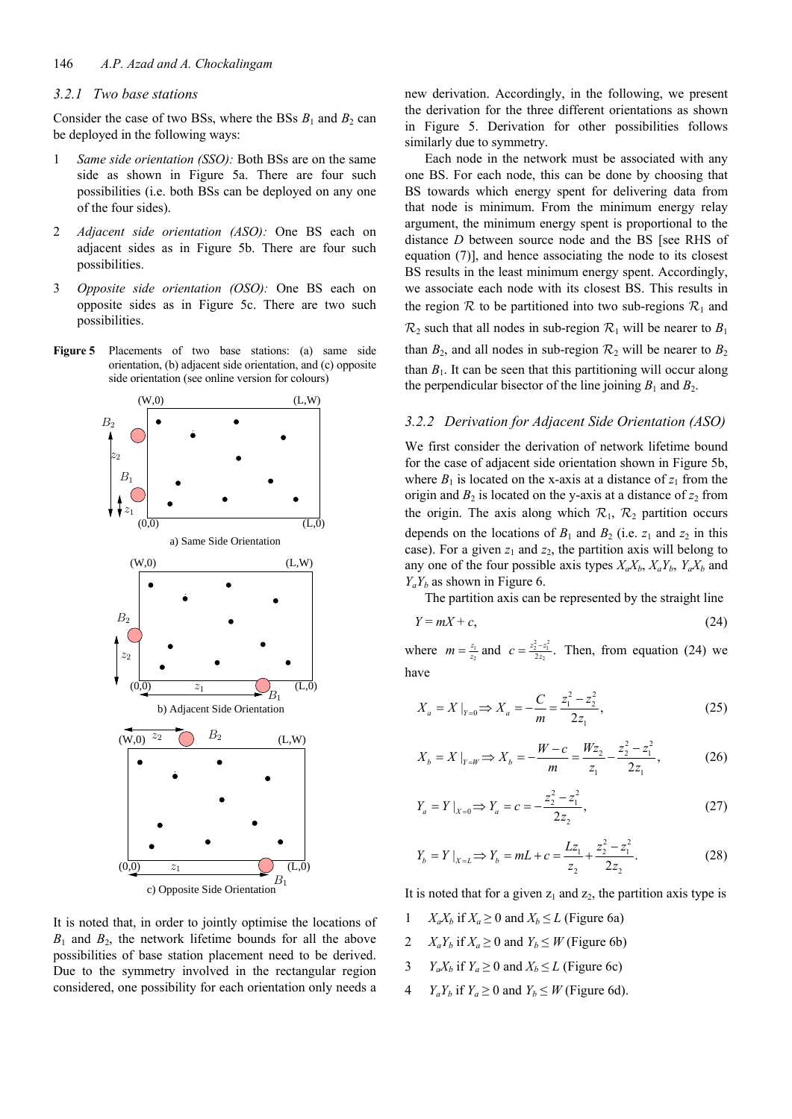## *3.2.1 Two base stations*

Consider the case of two BSs, where the BSs  $B_1$  and  $B_2$  can be deployed in the following ways:

- 1 *Same side orientation (SSO):* Both BSs are on the same side as shown in Figure 5a. There are four such possibilities (i.e. both BSs can be deployed on any one of the four sides).
- 2 *Adjacent side orientation (ASO):* One BS each on adjacent sides as in Figure 5b. There are four such possibilities.
- 3 *Opposite side orientation (OSO):* One BS each on opposite sides as in Figure 5c. There are two such possibilities.
- **Figure 5** Placements of two base stations: (a) same side orientation, (b) adjacent side orientation, and (c) opposite side orientation (see online version for colours)



It is noted that, in order to jointly optimise the locations of  $B_1$  and  $B_2$ , the network lifetime bounds for all the above possibilities of base station placement need to be derived. Due to the symmetry involved in the rectangular region considered, one possibility for each orientation only needs a

new derivation. Accordingly, in the following, we present the derivation for the three different orientations as shown in Figure 5. Derivation for other possibilities follows similarly due to symmetry.

Each node in the network must be associated with any one BS. For each node, this can be done by choosing that BS towards which energy spent for delivering data from that node is minimum. From the minimum energy relay argument, the minimum energy spent is proportional to the distance *D* between source node and the BS [see RHS of equation (7)], and hence associating the node to its closest BS results in the least minimum energy spent. Accordingly, we associate each node with its closest BS. This results in the region  $\mathcal R$  to be partitioned into two sub-regions  $\mathcal R_1$  and  $\mathcal{R}_2$  such that all nodes in sub-region  $\mathcal{R}_1$  will be nearer to  $B_1$ than  $B_2$ , and all nodes in sub-region  $\mathcal{R}_2$  will be nearer to  $B_2$ than  $B_1$ . It can be seen that this partitioning will occur along the perpendicular bisector of the line joining  $B_1$  and  $B_2$ .

## *3.2.2 Derivation for Adjacent Side Orientation (ASO)*

We first consider the derivation of network lifetime bound for the case of adjacent side orientation shown in Figure 5b, where  $B_1$  is located on the x-axis at a distance of  $z_1$  from the origin and  $B_2$  is located on the y-axis at a distance of  $z_2$  from the origin. The axis along which  $\mathcal{R}_1$ ,  $\mathcal{R}_2$  partition occurs depends on the locations of  $B_1$  and  $B_2$  (i.e.  $z_1$  and  $z_2$  in this case). For a given  $z_1$  and  $z_2$ , the partition axis will belong to any one of the four possible axis types  $X_a X_b$ ,  $X_a Y_b$ ,  $Y_a X_b$  and  $Y_a Y_b$  as shown in Figure 6.

The partition axis can be represented by the straight line

$$
Y = mX + c,\tag{24}
$$

where  $m = \frac{z_1}{z_2}$  and  $c = \frac{z_2^2 - z_1^2}{2z_2}$ . Then, from equation (24) we have

$$
X_a = X|_{Y=0} \Rightarrow X_a = -\frac{C}{m} = \frac{z_1^2 - z_2^2}{2z_1},
$$
\n(25)

$$
X_b = X \big|_{Y=W} \Longrightarrow X_b = -\frac{W - c}{m} = \frac{Wz_2}{z_1} - \frac{z_2^2 - z_1^2}{2z_1},\tag{26}
$$

$$
Y_a = Y \big|_{X=0} \Longrightarrow Y_a = c = -\frac{z_2^2 - z_1^2}{2z_2},\tag{27}
$$

$$
Y_b = Y \big|_{X=L} \Longrightarrow Y_b = mL + c = \frac{Lz_1}{z_2} + \frac{z_2^2 - z_1^2}{2z_2}.
$$
 (28)

It is noted that for a given  $z_1$  and  $z_2$ , the partition axis type is

- 1  $X_a X_b$  if  $X_a \ge 0$  and  $X_b \le L$  (Figure 6a)
- 2  $X_a Y_b$  if  $X_a \ge 0$  and  $Y_b \le W$  (Figure 6b)
- 3 *Y<sub>a</sub>X<sub>b</sub>* if  $Y_a \ge 0$  and  $X_b \le L$  (Figure 6c)
- 4  $Y_a Y_b$  if  $Y_a \ge 0$  and  $Y_b \le W$  (Figure 6d).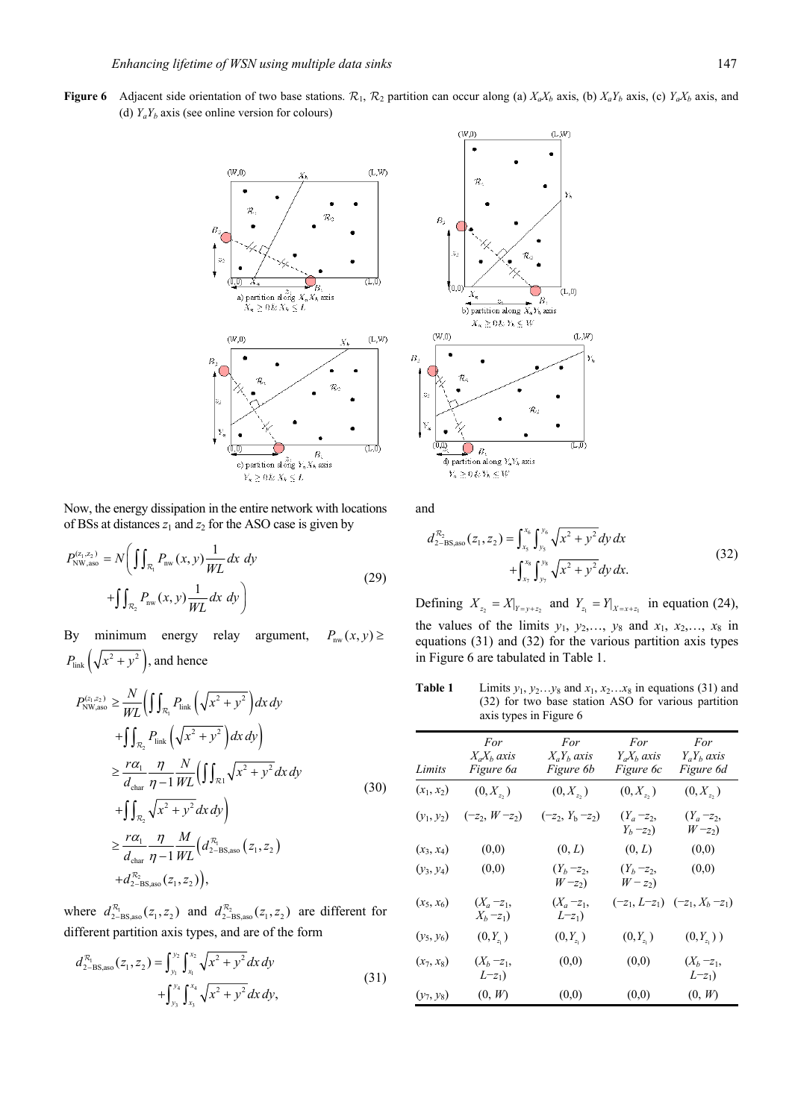**Figure 6** Adjacent side orientation of two base stations.  $\mathcal{R}_1$ ,  $\mathcal{R}_2$  partition can occur along (a)  $X_a X_b$  axis, (b)  $X_a Y_b$  axis, (c)  $Y_a X_b$  axis, and (d)  $Y_a Y_b$  axis (see online version for colours)



Now, the energy dissipation in the entire network with locations of BSs at distances  $z_1$  and  $z_2$  for the ASO case is given by

$$
P_{\text{NW,aso}}^{(z_1, z_2)} = N \bigg( \iint_{\mathcal{R}_1} P_{\text{nw}}(x, y) \frac{1}{WL} dx dy + \iint_{\mathcal{R}_2} P_{\text{nw}}(x, y) \frac{1}{WL} dx dy \bigg)
$$
 (29)

By minimum energy relay argument,  $P_{\text{nw}}(x, y) \ge$  $P_{\text{link}}\left(\sqrt{x^2 + y^2}\right)$ , and hence

$$
P_{\text{NW,aso}}^{(z_1, z_2)} \geq \frac{N}{WL} \left( \iint_{\mathcal{R}_1} P_{\text{link}} \left( \sqrt{x^2 + y^2} \right) dx dy \right)
$$
  
+ 
$$
\int_{\mathcal{R}_2} P_{\text{link}} \left( \sqrt{x^2 + y^2} \right) dx dy \right)
$$
  

$$
\geq \frac{r\alpha_1}{d_{\text{char}}} \frac{\eta}{\eta - 1} \frac{N}{WL} \left( \iint_{\mathcal{R}_1} \sqrt{x^2 + y^2} dx dy \right)
$$
  
+ 
$$
\int_{\mathcal{R}_2} \sqrt{x^2 + y^2} dx dy \right)
$$
  

$$
\geq \frac{r\alpha_1}{d_{\text{char}}} \frac{\eta}{\eta - 1} \frac{M}{WL} \left( d_{2-\text{BS,aso}}^{\mathcal{R}_1} \left( z_1, z_2 \right) + d_{2-\text{BS,aso}}^{\mathcal{R}_2} \left( z_1, z_2 \right) \right),
$$
 (30)

where  $d_{2-\text{BS,aso}}^{\mathcal{R}_1}(z_1, z_2)$  and  $d_{2-\text{BS,aso}}^{\mathcal{R}_2}(z_1, z_2)$  are different for different partition axis types, and are of the form

$$
d_{2-BS, \text{aso}}^{\mathcal{R}_1}(z_1, z_2) = \int_{y_1}^{y_2} \int_{x_1}^{x_2} \sqrt{x^2 + y^2} dx dy + \int_{y_3}^{y_4} \int_{x_3}^{x_4} \sqrt{x^2 + y^2} dx dy,
$$
\n(31)



and

$$
d_{2-\text{BS,aso}}^{\mathcal{R}_2}(z_1, z_2) = \int_{x_5}^{x_6} \int_{y_5}^{y_6} \sqrt{x^2 + y^2} dy dx + \int_{x_7}^{x_8} \int_{y_7}^{y_8} \sqrt{x^2 + y^2} dy dx.
$$
 (32)

Defining  $X_{z_2} = X|_{Y=y+z_2}$  and  $Y_{z_1} = Y|_{X=x+z_1}$  in equation (24), the values of the limits  $y_1$ ,  $y_2$ ,...,  $y_8$  and  $x_1$ ,  $x_2$ ,...,  $x_8$  in equations (31) and (32) for the various partition axis types in Figure 6 are tabulated in Table 1.

**Table 1** Limits  $y_1, y_2...y_8$  and  $x_1, x_2...x_8$  in equations (31) and (32) for two base station ASO for various partition axis types in Figure 6

| Limits       | For<br>$X_a X_b$ axis<br>Figure 6a | For<br>$X_a Y_b$ axis<br>Figure 6b | For<br>$Y_a X_b$ axis<br>Figure 6c | For<br>$Y_a Y_b$ axis<br>Figure 6d  |
|--------------|------------------------------------|------------------------------------|------------------------------------|-------------------------------------|
| $(x_1, x_2)$ | $(0, X_{z_2})$                     | $(0, X_{z_2})$                     | $(0, X_{z_2})$                     | $(0,X_{z_2})$                       |
| $(y_1, y_2)$ | $(-z_2, W-z_2)$                    | $(-z_2, Y_b - z_2)$                | $(Y_a - z_2,$<br>$Y_b - z_2$       | $(Y_a - z_2,$<br>$W - z_2$ )        |
| $(x_3, x_4)$ | (0,0)                              | (0, L)                             | (0, L)                             | (0,0)                               |
| $(y_3, y_4)$ | (0,0)                              | $(Y_b - z_2,$<br>$W - z_2$         | $(Y_b - z_2,$<br>$W-z_2$           | (0,0)                               |
| $(x_5, x_6)$ | $(X_a - z_1,$<br>$X_b - z_1$       | $(X_a = z_1,$<br>$L = z_1$         |                                    | $(-z_1, L-z_1)$ $(-z_1, X_b - z_1)$ |
| $(y_5, y_6)$ | $(0,Y_{z_1})$                      | $(0, Y_{z_1})$                     | $(0, Y_{z_1})$                     | $(0,Y_{z_1})$ )                     |
| $(x_7, x_8)$ | $(X_b - z_1,$<br>$L-z_1$           | (0,0)                              | (0,0)                              | $(X_b - z_1,$<br>$L_{\tau_1}$       |
| $(y_7, y_8)$ | (0, W)                             | (0,0)                              | (0,0)                              | (0, W)                              |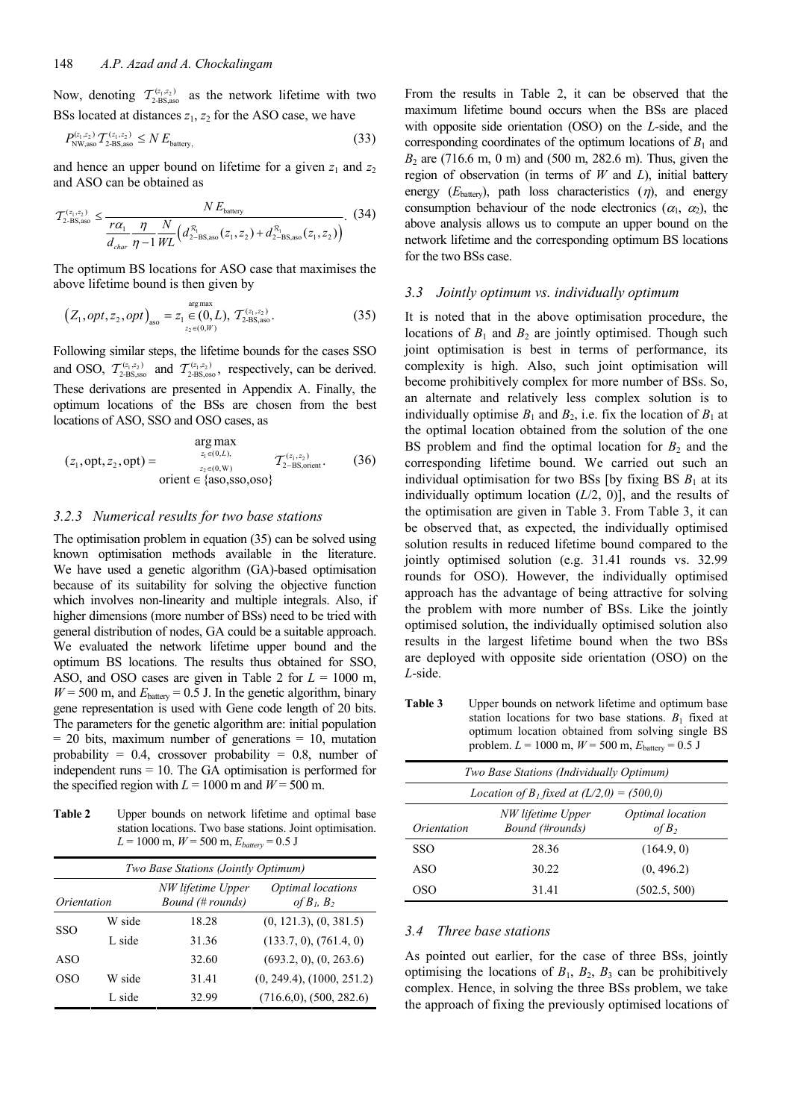Now, denoting  $T_{\text{2-BS,aso}}^{(z_1,z_2)}$  as the network lifetime with two BSs located at distances  $z_1$ ,  $z_2$  for the ASO case, we have

$$
P_{\text{NW,aso}}^{(z_1, z_2)} T_{\text{2-BS,aso}}^{(z_1, z_2)} \le N E_{\text{battery,}}
$$
\n(33)

and hence an upper bound on lifetime for a given  $z_1$  and  $z_2$ and ASO can be obtained as

$$
\mathcal{T}_{2\text{-BS,aso}}^{(z_1, z_2)} \le \frac{N E_{\text{battery}}}{\frac{r\alpha_1}{d_{char}} \eta - 1} \frac{N}{W_L} \Big( d_{2\text{-BS,aso}}^{\mathcal{R}_1} (z_1, z_2) + d_{2\text{-BS,aso}}^{\mathcal{R}_1} (z_1, z_2) \Big). \tag{34}
$$

The optimum BS locations for ASO case that maximises the above lifetime bound is then given by

$$
\left(Z_1, opt, z_2, opt\right)_{\text{aso}} = z_1 \underset{z_2 \in (0, W)}{\overset{\text{arg max}}{\in}} , \ T_{2\text{BS,aso}}^{(z_1, z_2)}.
$$
 (35)

Following similar steps, the lifetime bounds for the cases SSO and OSO,  $T_{\text{2-BS,sso}}^{(z_1,z_2)}$  and  $T_{\text{2-BS,sso}}^{(z_1,z_2)}$ , respectively, can be derived. These derivations are presented in Appendix A. Finally, the optimum locations of the BSs are chosen from the best locations of ASO, SSO and OSO cases, as

$$
(z_1, opt, z_2, opt) = \n\begin{cases}\n\arg \max_{z_1 \in (0, L),} & T_{(z_1, z_2)} \\
\text{if } z_2 \in (0, W) \\
\text{orient } \in \{800, \text{SS0}, 0.050\}\n\end{cases}\n\tag{36}
$$

## *3.2.3 Numerical results for two base stations*

The optimisation problem in equation (35) can be solved using known optimisation methods available in the literature. We have used a genetic algorithm (GA)-based optimisation because of its suitability for solving the objective function which involves non-linearity and multiple integrals. Also, if higher dimensions (more number of BSs) need to be tried with general distribution of nodes, GA could be a suitable approach. We evaluated the network lifetime upper bound and the optimum BS locations. The results thus obtained for SSO, ASO, and OSO cases are given in Table 2 for *L* = 1000 m,  $W = 500$  m, and  $E<sub>battery</sub> = 0.5$  J. In the genetic algorithm, binary gene representation is used with Gene code length of 20 bits. The parameters for the genetic algorithm are: initial population  $= 20$  bits, maximum number of generations  $= 10$ , mutation probability =  $0.4$ , crossover probability =  $0.8$ , number of independent runs = 10. The GA optimisation is performed for the specified region with  $L = 1000$  m and  $W = 500$  m.

**Table 2** Upper bounds on network lifetime and optimal base station locations. Two base stations. Joint optimisation.  $L = 1000$  m,  $W = 500$  m,  $E_{battery} = 0.5$  J

| Two Base Stations (Jointly Optimum)                                                        |        |       |                              |  |
|--------------------------------------------------------------------------------------------|--------|-------|------------------------------|--|
| NW lifetime Upper<br>Optimal locations<br>Bound (# rounds)<br>of $B_1, B_2$<br>Orientation |        |       |                              |  |
|                                                                                            | W side | 18.28 | (0, 121.3), (0, 381.5)       |  |
| <b>SSO</b>                                                                                 | L side | 31.36 | (133.7, 0), (761.4, 0)       |  |
| ASO                                                                                        |        | 32.60 | (693.2, 0), (0, 263.6)       |  |
| OSO                                                                                        | W side | 31.41 | (0, 249.4), (1000, 251.2)    |  |
|                                                                                            | L side | 32.99 | $(716.6,0)$ , $(500, 282.6)$ |  |

From the results in Table 2, it can be observed that the maximum lifetime bound occurs when the BSs are placed with opposite side orientation (OSO) on the *L*-side, and the corresponding coordinates of the optimum locations of  $B_1$  and *B*2 are (716.6 m, 0 m) and (500 m, 282.6 m). Thus, given the region of observation (in terms of *W* and *L*), initial battery energy  $(E<sub>battery</sub>)$ , path loss characteristics  $(\eta)$ , and energy consumption behaviour of the node electronics  $(\alpha_1, \alpha_2)$ , the above analysis allows us to compute an upper bound on the network lifetime and the corresponding optimum BS locations for the two BSs case.

#### *3.3 Jointly optimum vs. individually optimum*

It is noted that in the above optimisation procedure, the locations of  $B_1$  and  $B_2$  are jointly optimised. Though such joint optimisation is best in terms of performance, its complexity is high. Also, such joint optimisation will become prohibitively complex for more number of BSs. So, an alternate and relatively less complex solution is to individually optimise  $B_1$  and  $B_2$ , i.e. fix the location of  $B_1$  at the optimal location obtained from the solution of the one BS problem and find the optimal location for  $B_2$  and the corresponding lifetime bound. We carried out such an individual optimisation for two BSs [by fixing BS  $B_1$  at its individually optimum location (*L*/2, 0)], and the results of the optimisation are given in Table 3. From Table 3, it can be observed that, as expected, the individually optimised solution results in reduced lifetime bound compared to the jointly optimised solution (e.g. 31.41 rounds vs. 32.99 rounds for OSO). However, the individually optimised approach has the advantage of being attractive for solving the problem with more number of BSs. Like the jointly optimised solution, the individually optimised solution also results in the largest lifetime bound when the two BSs are deployed with opposite side orientation (OSO) on the *L*-side.

**Table 3** Upper bounds on network lifetime and optimum base station locations for two base stations.  $B_1$  fixed at optimum location obtained from solving single BS problem.  $L = 1000$  m,  $W = 500$  m,  $E_{\text{battery}} = 0.5$  J

| Two Base Stations (Individually Optimum) |                                                             |                          |  |  |  |
|------------------------------------------|-------------------------------------------------------------|--------------------------|--|--|--|
|                                          | <i>Location of B<sub>1</sub> fixed at (L/2,0)</i> = (500,0) |                          |  |  |  |
| Orientation                              | NW lifetime Upper<br>Bound (#rounds)                        | Optimal location<br>of B |  |  |  |
| SSO                                      | 28.36                                                       | (164.9, 0)               |  |  |  |
| ASO                                      | 30.22                                                       | (0, 496.2)               |  |  |  |
| OSO                                      | 3141                                                        | (502.5, 500)             |  |  |  |

## *3.4 Three base stations*

As pointed out earlier, for the case of three BSs, jointly optimising the locations of  $B_1$ ,  $B_2$ ,  $B_3$  can be prohibitively complex. Hence, in solving the three BSs problem, we take the approach of fixing the previously optimised locations of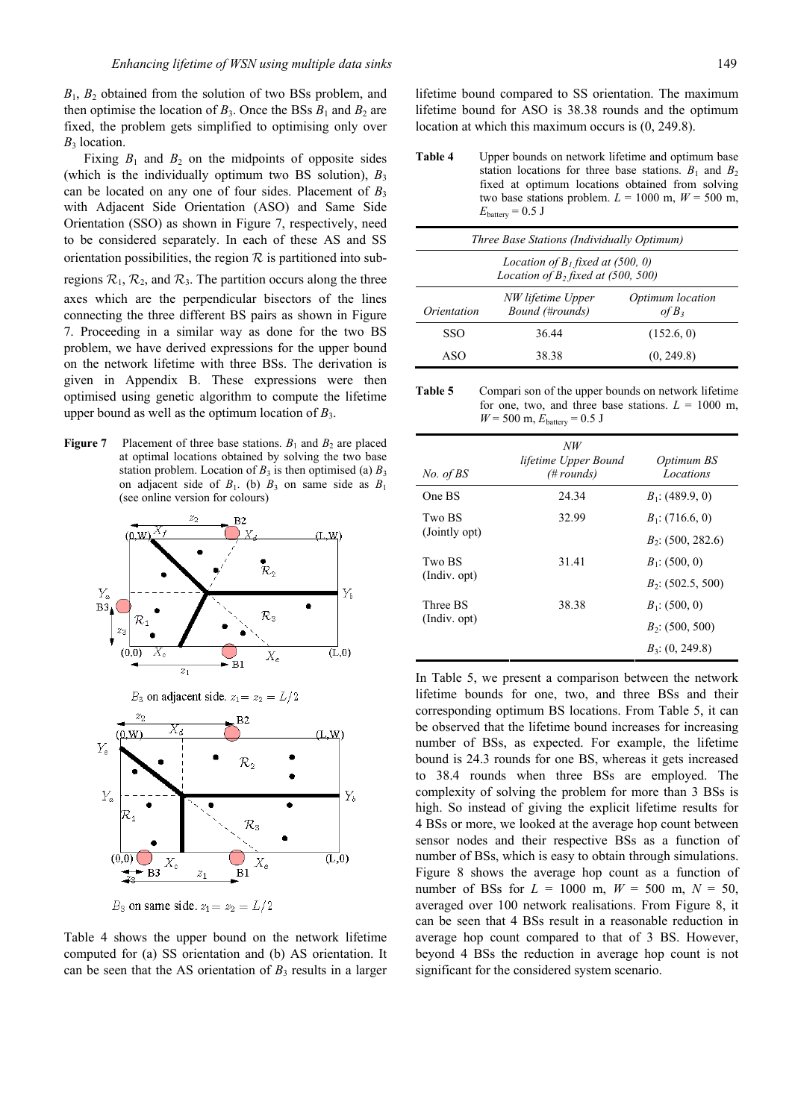*B*1, *B*2 obtained from the solution of two BSs problem, and then optimise the location of  $B_3$ . Once the BSs  $B_1$  and  $B_2$  are fixed, the problem gets simplified to optimising only over *B*3 location.

Fixing  $B_1$  and  $B_2$  on the midpoints of opposite sides (which is the individually optimum two BS solution),  $B_3$ can be located on any one of four sides. Placement of  $B_3$ with Adjacent Side Orientation (ASO) and Same Side Orientation (SSO) as shown in Figure 7, respectively, need to be considered separately. In each of these AS and SS orientation possibilities, the region  $R$  is partitioned into sub-

regions  $\mathcal{R}_1$ ,  $\mathcal{R}_2$ , and  $\mathcal{R}_3$ . The partition occurs along the three axes which are the perpendicular bisectors of the lines connecting the three different BS pairs as shown in Figure 7. Proceeding in a similar way as done for the two BS problem, we have derived expressions for the upper bound on the network lifetime with three BSs. The derivation is given in Appendix B. These expressions were then optimised using genetic algorithm to compute the lifetime upper bound as well as the optimum location of  $B_3$ .

**Figure 7** Placement of three base stations.  $B_1$  and  $B_2$  are placed at optimal locations obtained by solving the two base station problem. Location of  $B_3$  is then optimised (a)  $B_3$ on adjacent side of  $B_1$ . (b)  $B_3$  on same side as  $B_1$ (see online version for colours)



Table 4 shows the upper bound on the network lifetime computed for (a) SS orientation and (b) AS orientation. It can be seen that the AS orientation of  $B_3$  results in a larger

lifetime bound compared to SS orientation. The maximum lifetime bound for ASO is 38.38 rounds and the optimum location at which this maximum occurs is (0, 249.8).

**Table 4** Upper bounds on network lifetime and optimum base station locations for three base stations.  $B_1$  and  $B_2$ fixed at optimum locations obtained from solving two base stations problem.  $L = 1000$  m,  $W = 500$  m,  $E_{\text{battery}} = 0.5 \text{ J}$ 

| Three Base Stations (Individually Optimum)                                          |       |            |  |  |
|-------------------------------------------------------------------------------------|-------|------------|--|--|
| Location of $B_1$ fixed at (500, 0)<br>Location of $B_2$ fixed at (500, 500)        |       |            |  |  |
| Optimum location<br>NW lifetime Upper<br>Bound (#rounds)<br>of $B_3$<br>Orientation |       |            |  |  |
| SSO                                                                                 | 36.44 | (152.6, 0) |  |  |
| ASO                                                                                 | 38.38 | (0, 249.8) |  |  |

**Table 5** Compari son of the upper bounds on network lifetime for one, two, and three base stations.  $L = 1000$  m,  $W = 500$  m,  $E_{\text{battery}} = 0.5$  J

| No. of BS     | NW<br>lifetime Upper Bound<br>$(\# rounds)$ | Optimum BS<br>Locations |
|---------------|---------------------------------------------|-------------------------|
| One BS        | 24.34                                       | $B_1$ : (489.9, 0)      |
| Two BS        | 32.99                                       | $B_1$ : (716.6, 0)      |
| (Jointly opt) |                                             | $B_2$ : (500, 282.6)    |
| Two BS        | 31.41                                       | $B_1$ : (500, 0)        |
| (Indiv. opt)  |                                             | $B_2$ : (502.5, 500)    |
| Three BS      | 38.38                                       | $B_1$ : (500, 0)        |
| (Indiv. opt)  |                                             | $B_2$ : (500, 500)      |
|               |                                             | $B_3$ : (0, 249.8)      |

In Table 5, we present a comparison between the network lifetime bounds for one, two, and three BSs and their corresponding optimum BS locations. From Table 5, it can be observed that the lifetime bound increases for increasing number of BSs, as expected. For example, the lifetime bound is 24.3 rounds for one BS, whereas it gets increased to 38.4 rounds when three BSs are employed. The complexity of solving the problem for more than 3 BSs is high. So instead of giving the explicit lifetime results for 4 BSs or more, we looked at the average hop count between sensor nodes and their respective BSs as a function of number of BSs, which is easy to obtain through simulations. Figure 8 shows the average hop count as a function of number of BSs for  $L = 1000$  m,  $W = 500$  m,  $N = 50$ , averaged over 100 network realisations. From Figure 8, it can be seen that 4 BSs result in a reasonable reduction in average hop count compared to that of 3 BS. However, beyond 4 BSs the reduction in average hop count is not significant for the considered system scenario.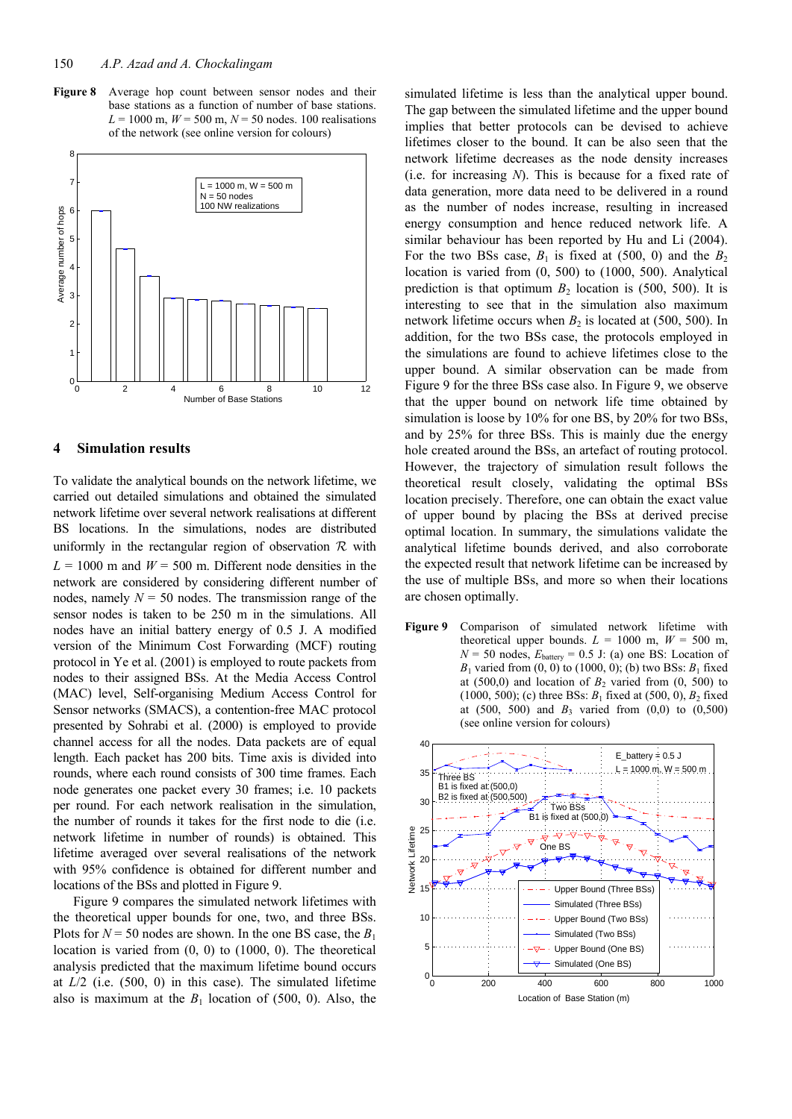**Figure 8** Average hop count between sensor nodes and their base stations as a function of number of base stations.  $L = 1000$  m,  $W = 500$  m,  $N = 50$  nodes. 100 realisations of the network (see online version for colours)



## **4 Simulation results**

To validate the analytical bounds on the network lifetime, we carried out detailed simulations and obtained the simulated network lifetime over several network realisations at different BS locations. In the simulations, nodes are distributed uniformly in the rectangular region of observation  $\mathcal R$  with  $L = 1000$  m and  $W = 500$  m. Different node densities in the network are considered by considering different number of nodes, namely  $N = 50$  nodes. The transmission range of the sensor nodes is taken to be 250 m in the simulations. All nodes have an initial battery energy of 0.5 J. A modified version of the Minimum Cost Forwarding (MCF) routing protocol in Ye et al. (2001) is employed to route packets from nodes to their assigned BSs. At the Media Access Control (MAC) level, Self-organising Medium Access Control for Sensor networks (SMACS), a contention-free MAC protocol presented by Sohrabi et al. (2000) is employed to provide channel access for all the nodes. Data packets are of equal length. Each packet has 200 bits. Time axis is divided into rounds, where each round consists of 300 time frames. Each node generates one packet every 30 frames; i.e. 10 packets per round. For each network realisation in the simulation, the number of rounds it takes for the first node to die (i.e. network lifetime in number of rounds) is obtained. This lifetime averaged over several realisations of the network with 95% confidence is obtained for different number and locations of the BSs and plotted in Figure 9.

Figure 9 compares the simulated network lifetimes with the theoretical upper bounds for one, two, and three BSs. Plots for  $N = 50$  nodes are shown. In the one BS case, the  $B_1$ location is varied from (0, 0) to (1000, 0). The theoretical analysis predicted that the maximum lifetime bound occurs at *L*/2 (i.e. (500, 0) in this case). The simulated lifetime also is maximum at the  $B_1$  location of (500, 0). Also, the

simulated lifetime is less than the analytical upper bound. The gap between the simulated lifetime and the upper bound implies that better protocols can be devised to achieve lifetimes closer to the bound. It can be also seen that the network lifetime decreases as the node density increases (i.e. for increasing *N*). This is because for a fixed rate of data generation, more data need to be delivered in a round as the number of nodes increase, resulting in increased energy consumption and hence reduced network life. A similar behaviour has been reported by Hu and Li (2004). For the two BSs case,  $B_1$  is fixed at (500, 0) and the  $B_2$ location is varied from (0, 500) to (1000, 500). Analytical prediction is that optimum  $B_2$  location is (500, 500). It is interesting to see that in the simulation also maximum network lifetime occurs when  $B_2$  is located at (500, 500). In addition, for the two BSs case, the protocols employed in the simulations are found to achieve lifetimes close to the upper bound. A similar observation can be made from Figure 9 for the three BSs case also. In Figure 9, we observe that the upper bound on network life time obtained by simulation is loose by 10% for one BS, by 20% for two BSs, and by 25% for three BSs. This is mainly due the energy hole created around the BSs, an artefact of routing protocol. However, the trajectory of simulation result follows the theoretical result closely, validating the optimal BSs location precisely. Therefore, one can obtain the exact value of upper bound by placing the BSs at derived precise optimal location. In summary, the simulations validate the analytical lifetime bounds derived, and also corroborate the expected result that network lifetime can be increased by the use of multiple BSs, and more so when their locations are chosen optimally.

Figure 9 Comparison of simulated network lifetime with theoretical upper bounds.  $L = 1000$  m,  $W = 500$  m,  $N = 50$  nodes,  $E_{\text{battery}} = 0.5$  J: (a) one BS: Location of *B*<sub>1</sub> varied from  $(0, 0)$  to  $(1000, 0)$ ; (b) two BSs: *B*<sub>1</sub> fixed at  $(500,0)$  and location of  $B_2$  varied from  $(0, 500)$  to (1000, 500); (c) three BSs:  $B_1$  fixed at (500, 0),  $B_2$  fixed at (500, 500) and  $B_3$  varied from  $(0,0)$  to  $(0,500)$ (see online version for colours)

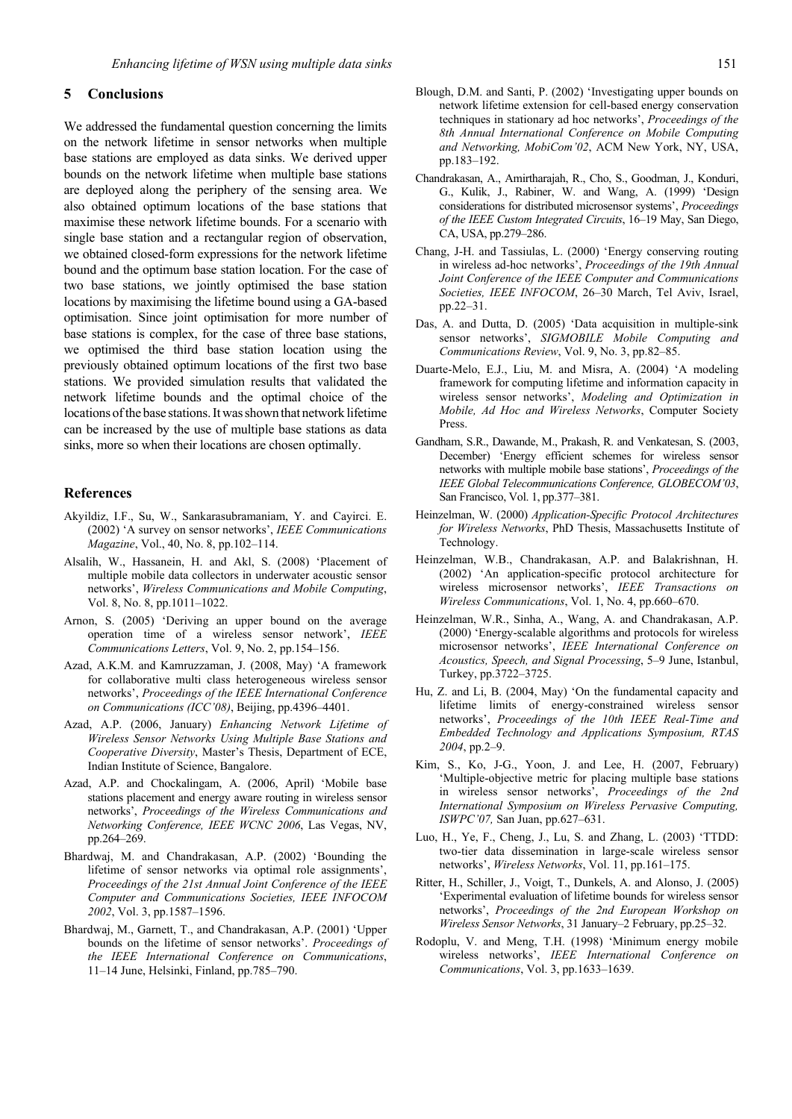# **5 Conclusions**

We addressed the fundamental question concerning the limits on the network lifetime in sensor networks when multiple base stations are employed as data sinks. We derived upper bounds on the network lifetime when multiple base stations are deployed along the periphery of the sensing area. We also obtained optimum locations of the base stations that maximise these network lifetime bounds. For a scenario with single base station and a rectangular region of observation, we obtained closed-form expressions for the network lifetime bound and the optimum base station location. For the case of two base stations, we jointly optimised the base station locations by maximising the lifetime bound using a GA-based optimisation. Since joint optimisation for more number of base stations is complex, for the case of three base stations, we optimised the third base station location using the previously obtained optimum locations of the first two base stations. We provided simulation results that validated the network lifetime bounds and the optimal choice of the locations of the base stations. It was shown that network lifetime can be increased by the use of multiple base stations as data sinks, more so when their locations are chosen optimally.

#### **References**

- Akyildiz, I.F., Su, W., Sankarasubramaniam, Y. and Cayirci. E. (2002) 'A survey on sensor networks', *IEEE Communications Magazine*, Vol., 40, No. 8, pp.102–114.
- Alsalih, W., Hassanein, H. and Akl, S. (2008) 'Placement of multiple mobile data collectors in underwater acoustic sensor networks', *Wireless Communications and Mobile Computing*, Vol. 8, No. 8, pp.1011–1022.
- Arnon, S. (2005) 'Deriving an upper bound on the average operation time of a wireless sensor network', *IEEE Communications Letters*, Vol. 9, No. 2, pp.154–156.
- Azad, A.K.M. and Kamruzzaman, J. (2008, May) 'A framework for collaborative multi class heterogeneous wireless sensor networks', *Proceedings of the IEEE International Conference on Communications (ICC'08)*, Beijing, pp.4396–4401.
- Azad, A.P. (2006, January) *Enhancing Network Lifetime of Wireless Sensor Networks Using Multiple Base Stations and Cooperative Diversity*, Master's Thesis, Department of ECE, Indian Institute of Science, Bangalore.
- Azad, A.P. and Chockalingam, A. (2006, April) 'Mobile base stations placement and energy aware routing in wireless sensor networks', *Proceedings of the Wireless Communications and Networking Conference, IEEE WCNC 2006*, Las Vegas, NV, pp.264–269.
- Bhardwaj, M. and Chandrakasan, A.P. (2002) 'Bounding the lifetime of sensor networks via optimal role assignments', *Proceedings of the 21st Annual Joint Conference of the IEEE Computer and Communications Societies, IEEE INFOCOM 2002*, Vol. 3, pp.1587–1596.
- Bhardwaj, M., Garnett, T., and Chandrakasan, A.P. (2001) 'Upper bounds on the lifetime of sensor networks'. *Proceedings of the IEEE International Conference on Communications*, 11–14 June, Helsinki, Finland, pp.785–790.
- Blough, D.M. and Santi, P. (2002) 'Investigating upper bounds on network lifetime extension for cell-based energy conservation techniques in stationary ad hoc networks', *Proceedings of the 8th Annual International Conference on Mobile Computing and Networking, MobiCom'02*, ACM New York, NY, USA, pp.183–192.
- Chandrakasan, A., Amirtharajah, R., Cho, S., Goodman, J., Konduri, G., Kulik, J., Rabiner, W. and Wang, A. (1999) 'Design considerations for distributed microsensor systems', *Proceedings of the IEEE Custom Integrated Circuits*, 16–19 May, San Diego, CA, USA, pp.279–286.
- Chang, J-H. and Tassiulas, L. (2000) 'Energy conserving routing in wireless ad-hoc networks', *Proceedings of the 19th Annual Joint Conference of the IEEE Computer and Communications Societies, IEEE INFOCOM*, 26–30 March, Tel Aviv, Israel, pp.22–31.
- Das, A. and Dutta, D. (2005) 'Data acquisition in multiple-sink sensor networks', *SIGMOBILE Mobile Computing and Communications Review*, Vol. 9, No. 3, pp.82–85.
- Duarte-Melo, E.J., Liu, M. and Misra, A. (2004) 'A modeling framework for computing lifetime and information capacity in wireless sensor networks', *Modeling and Optimization in Mobile, Ad Hoc and Wireless Networks*, Computer Society **Press**.
- Gandham, S.R., Dawande, M., Prakash, R. and Venkatesan, S. (2003, December) 'Energy efficient schemes for wireless sensor networks with multiple mobile base stations', *Proceedings of the IEEE Global Telecommunications Conference, GLOBECOM'03*, San Francisco, Vol. 1, pp.377–381.
- Heinzelman, W. (2000) *Application-Specific Protocol Architectures for Wireless Networks*, PhD Thesis, Massachusetts Institute of Technology.
- Heinzelman, W.B., Chandrakasan, A.P. and Balakrishnan, H. (2002) 'An application-specific protocol architecture for wireless microsensor networks', *IEEE Transactions on Wireless Communications*, Vol. 1, No. 4, pp.660–670.
- Heinzelman, W.R., Sinha, A., Wang, A. and Chandrakasan, A.P. (2000) 'Energy-scalable algorithms and protocols for wireless microsensor networks', *IEEE International Conference on Acoustics, Speech, and Signal Processing*, 5–9 June, Istanbul, Turkey, pp.3722–3725.
- Hu, Z. and Li, B. (2004, May) 'On the fundamental capacity and lifetime limits of energy-constrained wireless sensor networks', *Proceedings of the 10th IEEE Real-Time and Embedded Technology and Applications Symposium, RTAS 2004*, pp.2–9.
- Kim, S., Ko, J-G., Yoon, J. and Lee, H. (2007, February) 'Multiple-objective metric for placing multiple base stations in wireless sensor networks', *Proceedings of the 2nd International Symposium on Wireless Pervasive Computing, ISWPC'07,* San Juan, pp.627–631.
- Luo, H., Ye, F., Cheng, J., Lu, S. and Zhang, L. (2003) 'TTDD: two-tier data dissemination in large-scale wireless sensor networks', *Wireless Networks*, Vol. 11, pp.161–175.
- Ritter, H., Schiller, J., Voigt, T., Dunkels, A. and Alonso, J. (2005) 'Experimental evaluation of lifetime bounds for wireless sensor networks', *Proceedings of the 2nd European Workshop on Wireless Sensor Networks*, 31 January–2 February, pp.25–32.
- Rodoplu, V. and Meng, T.H. (1998) 'Minimum energy mobile wireless networks', *IEEE International Conference on Communications*, Vol. 3, pp.1633–1639.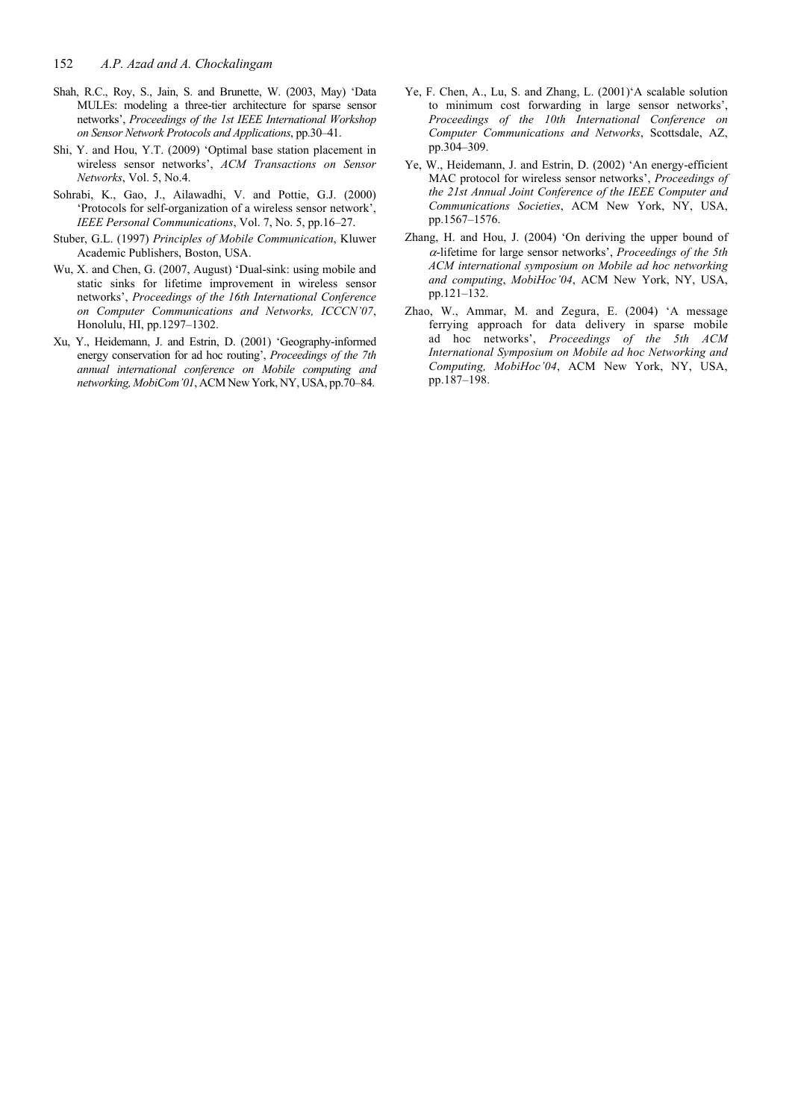- Shah, R.C., Roy, S., Jain, S. and Brunette, W. (2003, May) 'Data MULEs: modeling a three-tier architecture for sparse sensor networks', *Proceedings of the 1st IEEE International Workshop on Sensor Network Protocols and Applications*, pp.30–41.
- Shi, Y. and Hou, Y.T. (2009) 'Optimal base station placement in wireless sensor networks', *ACM Transactions on Sensor Networks*, Vol. 5, No.4.
- Sohrabi, K., Gao, J., Ailawadhi, V. and Pottie, G.J. (2000) 'Protocols for self-organization of a wireless sensor network', *IEEE Personal Communications*, Vol. 7, No. 5, pp.16–27.
- Stuber, G.L. (1997) *Principles of Mobile Communication*, Kluwer Academic Publishers, Boston, USA.
- Wu, X. and Chen, G. (2007, August) 'Dual-sink: using mobile and static sinks for lifetime improvement in wireless sensor networks', *Proceedings of the 16th International Conference on Computer Communications and Networks, ICCCN'07*, Honolulu, HI, pp.1297–1302.
- Xu, Y., Heidemann, J. and Estrin, D. (2001) 'Geography-informed energy conservation for ad hoc routing', *Proceedings of the 7th annual international conference on Mobile computing and networking, MobiCom'01*, ACM New York, NY, USA, pp.70–84.
- Ye, F. Chen, A., Lu, S. and Zhang, L. (2001)'A scalable solution to minimum cost forwarding in large sensor networks', *Proceedings of the 10th International Conference on Computer Communications and Networks*, Scottsdale, AZ, pp.304–309.
- Ye, W., Heidemann, J. and Estrin, D. (2002) 'An energy-efficient MAC protocol for wireless sensor networks', *Proceedings of the 21st Annual Joint Conference of the IEEE Computer and Communications Societies*, ACM New York, NY, USA, pp.1567–1576.
- Zhang, H. and Hou, J. (2004) 'On deriving the upper bound of <sup>α</sup>-lifetime for large sensor networks', *Proceedings of the 5th ACM international symposium on Mobile ad hoc networking and computing*, *MobiHoc'04*, ACM New York, NY, USA, pp.121–132.
- Zhao, W., Ammar, M. and Zegura, E. (2004) 'A message ferrying approach for data delivery in sparse mobile ad hoc networks', *Proceedings of the 5th ACM International Symposium on Mobile ad hoc Networking and Computing, MobiHoc'04*, ACM New York, NY, USA, pp.187–198.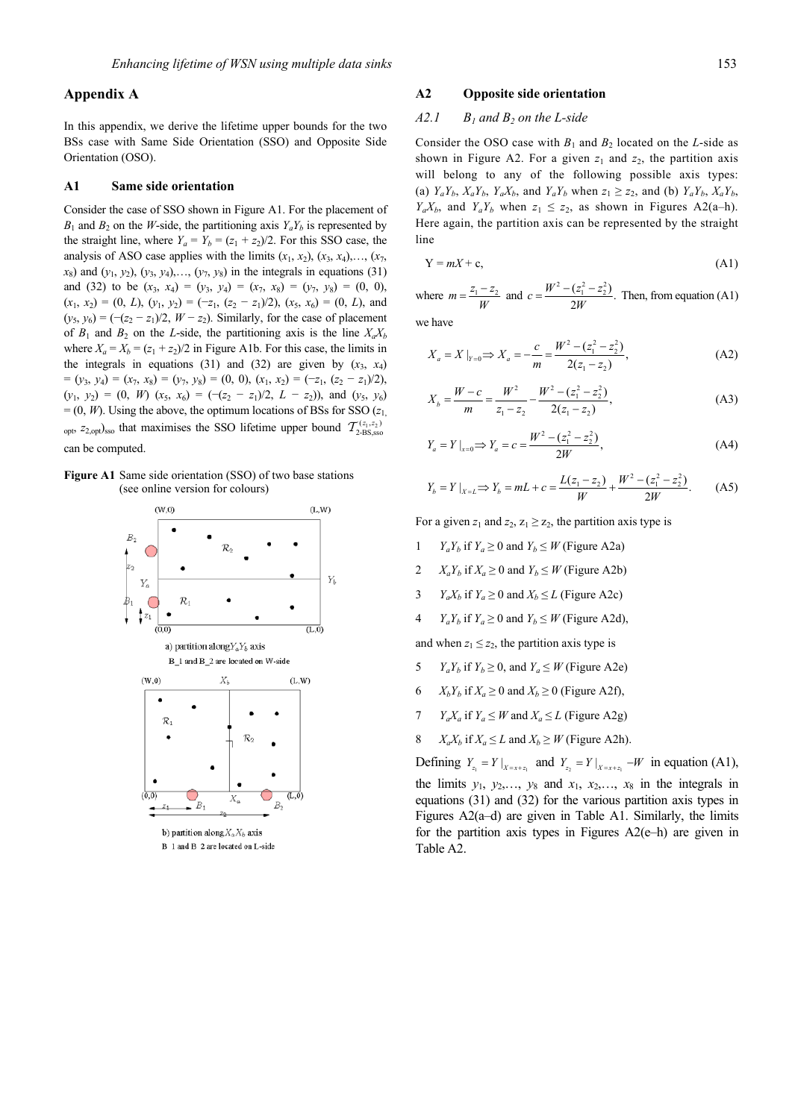# **Appendix A**

In this appendix, we derive the lifetime upper bounds for the two BSs case with Same Side Orientation (SSO) and Opposite Side Orientation (OSO).

#### **A1 Same side orientation**

Consider the case of SSO shown in Figure A1. For the placement of  $B_1$  and  $B_2$  on the *W*-side, the partitioning axis  $Y_a Y_b$  is represented by the straight line, where  $Y_a = Y_b = (z_1 + z_2)/2$ . For this SSO case, the analysis of ASO case applies with the limits  $(x_1, x_2), (x_3, x_4), \ldots, (x_7, x_9)$  $x_8$ ) and  $(y_1, y_2)$ ,  $(y_3, y_4)$ ,  $(y_7, y_8)$  in the integrals in equations (31) and (32) to be  $(x_3, x_4) = (y_3, y_4) = (x_7, x_8) = (y_7, y_8) = (0, 0)$ ,  $(x_1, x_2) = (0, L), (y_1, y_2) = (-z_1, (z_2 - z_1)/2), (x_5, x_6) = (0, L)$ , and  $(y_5, y_6) = \frac{-(z_2 - z_1)}{2}$ , *W* − *z*<sub>2</sub>). Similarly, for the case of placement of  $B_1$  and  $B_2$  on the *L*-side, the partitioning axis is the line  $X_a X_b$ where  $X_a = X_b = (z_1 + z_2)/2$  in Figure A1b. For this case, the limits in the integrals in equations (31) and (32) are given by  $(x_3, x_4)$  $=(y_3, y_4) = (x_7, x_8) = (y_7, y_8) = (0, 0), (x_1, x_2) = (-z_1, (z_2 - z_1)/2),$  $(y_1, y_2) = (0, W) (x_5, x_6) = (-(z_2 - z_1)/2, L - z_2)$ , and  $(y_5, y_6)$  $= (0, W)$ . Using the above, the optimum locations of BSs for SSO ( $z_1$ , <sub>opt,  $z_{2,\text{opt}}$ )<sub>sso</sub> that maximises the SSO lifetime upper bound  $\mathcal{T}_{2\text{-BS},\text{sso}}^{(z_1,z_2)}$ </sub> can be computed.

**Figure A1** Same side orientation (SSO) of two base stations (see online version for colours)



## **A2 Opposite side orientation**

## $A2.1$   $B_1$  and  $B_2$  on the L-side

Consider the OSO case with  $B_1$  and  $B_2$  located on the *L*-side as shown in Figure A2. For a given  $z_1$  and  $z_2$ , the partition axis will belong to any of the following possible axis types: (a)  $Y_a Y_b$ ,  $X_a Y_b$ ,  $Y_a X_b$ , and  $Y_a Y_b$  when  $z_1 \ge z_2$ , and (b)  $Y_a Y_b$ ,  $X_a Y_b$ ,  $Y_a X_b$ , and  $Y_a Y_b$  when  $z_1 \leq z_2$ , as shown in Figures A2(a–h). Here again, the partition axis can be represented by the straight line

$$
Y = mX + c,\tag{A1}
$$

where  $m = \frac{z_1 - z_2}{W}$  and  $c = \frac{W^2 - (z_1^2 - z_2^2)}{2W}$ . Then, from equation (A1)

we have

$$
X_a = X|_{Y=0} \Rightarrow X_a = -\frac{c}{m} = \frac{W^2 - (z_1^2 - z_2^2)}{2(z_1 - z_2)},
$$
 (A2)

$$
X_b = \frac{W - c}{m} = \frac{W^2}{z_1 - z_2} - \frac{W^2 - (z_1^2 - z_2^2)}{2(z_1 - z_2)},
$$
 (A3)

$$
Y_a = Y \big|_{x=0} \Longrightarrow Y_a = c = \frac{W^2 - (z_1^2 - z_2^2)}{2W},\tag{A4}
$$

$$
Y_b = Y|_{X=L} \Rightarrow Y_b = mL + c = \frac{L(z_1 - z_2)}{W} + \frac{W^2 - (z_1^2 - z_2^2)}{2W}.
$$
 (A5)

For a given  $z_1$  and  $z_2$ ,  $z_1 \ge z_2$ , the partition axis type is

- 1 *Y<sub>a</sub>Y<sub>b</sub>* if  $Y_a \ge 0$  and  $Y_b \le W$  (Figure A2a)
- 2  $X_a Y_b$  if  $X_a \ge 0$  and  $Y_b \le W$  (Figure A2b)
- 3 *Y<sub>a</sub>X<sub>b</sub>* if  $Y_a \ge 0$  and  $X_b \le L$  (Figure A2c)
- 4  $Y_a Y_b$  if  $Y_a \ge 0$  and  $Y_b \le W$  (Figure A2d),

and when  $z_1 \leq z_2$ , the partition axis type is

- 5  $Y_a Y_b$  if  $Y_b \ge 0$ , and  $Y_a \le W$  (Figure A2e)
- 6  $X_b Y_b$  if  $X_a \ge 0$  and  $X_b \ge 0$  (Figure A2f),
- 7 *Y<sub>a</sub>X<sub>a</sub>* if  $Y_a \leq W$  and  $X_a \leq L$  (Figure A2g)
- 8  $X_a X_b$  if  $X_a \leq L$  and  $X_b \geq W$  (Figure A2h).

Defining  $Y_{z_1} = Y |_{X = x + z_1}$  and  $Y_{z_2} = Y |_{X = x + z_1} - W$  in equation (A1), the limits  $y_1$ ,  $y_2$ ,  $y_8$  and  $x_1$ ,  $x_2$ ,  $x_3$  in the integrals in equations (31) and (32) for the various partition axis types in Figures A2(a–d) are given in Table A1. Similarly, the limits for the partition axis types in Figures A2(e–h) are given in Table A2.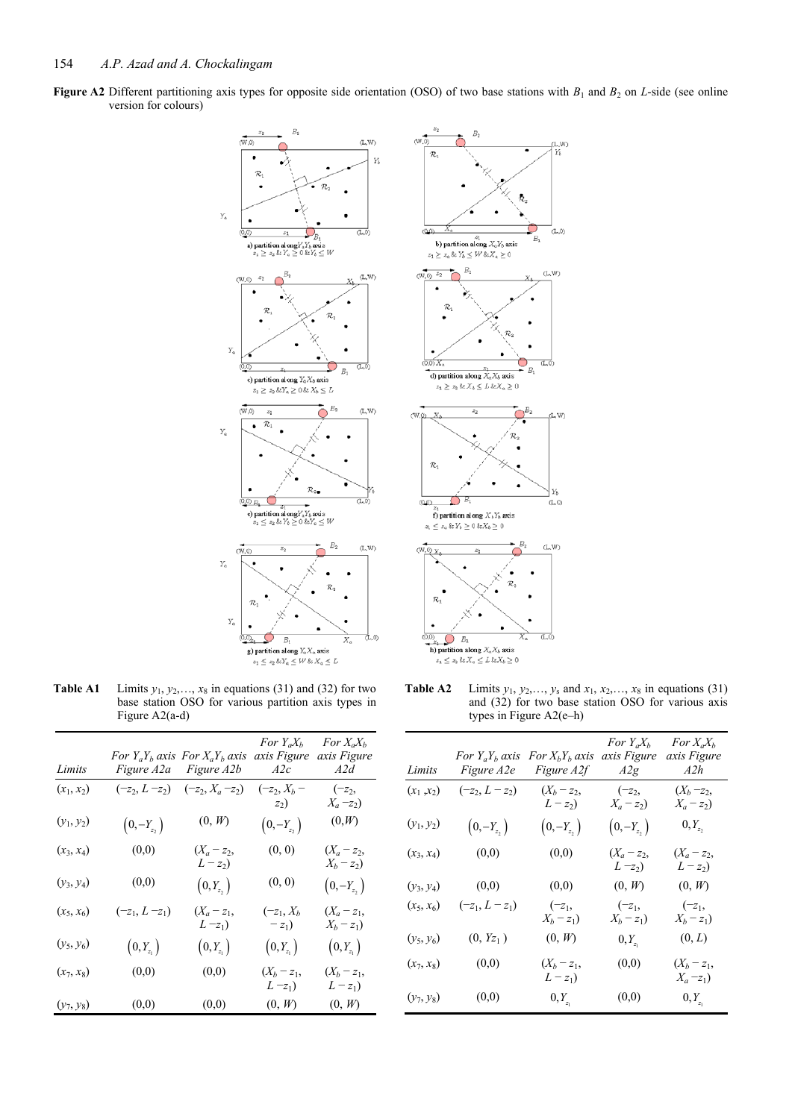**Figure A2** Different partitioning axis types for opposite side orientation (OSO) of two base stations with  $B_1$  and  $B_2$  on *L*-side (see online version for colours)





**Table A1** Limits  $y_1, y_2, \ldots, x_8$  in equations (31) and (32) for two base station OSO for various partition axis types in Figure A2(a-d)

| Limits       |                   | For $Y_a Y_b$ axis For $X_a Y_b$ axis<br>Figure A2a Figure A2b | For $Y_a X_b$<br>axis Figure<br>A2c | For $X_a X_b$<br>axis Figure<br>A2d |
|--------------|-------------------|----------------------------------------------------------------|-------------------------------------|-------------------------------------|
| $(x_1, x_2)$ | $(-z_2, L - z_2)$ | $(-z_2, X_a - z_2)$                                            | $(-z_2, X_b -$<br>$z_2$ )           | $(-z_2,$<br>$X_a - z_2$             |
| $(y_1, y_2)$ | $(0,-Y_{z_2})$    | (0, W)                                                         | $(0,-Y_{z_2})$                      | (0, W)                              |
| $(x_3, x_4)$ | (0,0)             | $(X_a - z_2,$<br>$L - z_2$                                     | (0, 0)                              | $(X_a - z_2,$<br>$X_b - z_2$        |
| $(y_3, y_4)$ | (0,0)             | $\left(0,Y_{z_2}\right)$                                       | (0, 0)                              | $(0,-Y_{z_2})$                      |
| $(x_5, x_6)$ | $(-z_1, L - z_1)$ | $(X_a - z_1,$<br>$(L - z_1)$                                   | $(-z_1, X_b)$<br>$-z_1$             | $(X_a - z_1,$<br>$X_b - z_1$        |
| $(y_5, y_6)$ | $(0,Y_{z_1})$     | $\left(0,Y_{z_1}\right)$                                       | $\left(0,Y_{z_1}\right)$            | $\left(0,Y_{z_1}\right)$            |
| $(x_7, x_8)$ | (0,0)             | (0,0)                                                          | $(X_b - z_1,$<br>$L-z_1$            | $(X_b - z_1,$<br>$L-z_1$            |
| $(y_7, y_8)$ | (0,0)             | (0,0)                                                          | (0, W)                              | (0, W)                              |

**Table A2** Limits  $y_1, y_2,..., y_s$  and  $x_1, x_2,..., x_8$  in equations (31) and (32) for two base station OSO for various axis types in Figure A2(e–h)

| Limits       | For $Y_a Y_b$ axis<br><i>Figure A2e</i> | For $X_bY_b$ axis<br><i>Figure A2f</i> | For $Y_a X_b$<br>axis Figure<br>A2g | For $X_a X_b$<br>axis Figure<br>A2h |
|--------------|-----------------------------------------|----------------------------------------|-------------------------------------|-------------------------------------|
| $(x_1, x_2)$ | $(-z_2, L - z_2)$                       | $(X_b - z_2,$<br>$L-z_2$               | $(-z_2,$<br>$X_a - z_2$             | $(X_b - z_2,$<br>$X_a - z_2$        |
| $(y_1, y_2)$ | $(0,-Y_{z_2})$                          | $(0,-Y_{z_2})$                         | $(0,-Y_{z_2})$                      | $0, Y_{z_2}$                        |
| $(x_3, x_4)$ | (0,0)                                   | (0,0)                                  | $(X_a - z_2,$<br>$L-z_2$            | $(X_a - z_2,$<br>$L-z_2$            |
| $(y_3, y_4)$ | (0,0)                                   | (0,0)                                  | (0, W)                              | (0, W)                              |
| $(x_5, x_6)$ | $(-z_1, L-z_1)$                         | $(-z_1,$<br>$X_b - z_1$                | $(-z_1,$<br>$X_b - z_1$             | $(-z_1,$<br>$X_b - z_1$             |
| $(y_5, y_6)$ | $(0, Y_{Z_1})$                          | (0, W)                                 | $0, Y_{z_1}$                        | (0, L)                              |
| $(x_7, x_8)$ | (0,0)                                   | $(X_b - z_1,$<br>$L-z_1$               | (0,0)                               | $(X_b - z_1,$<br>$X_a = z_1$        |
| $(y_7, y_8)$ | (0,0)                                   | $0, Y_{z_1}$                           | (0,0)                               | $0, Y_{z_1}$                        |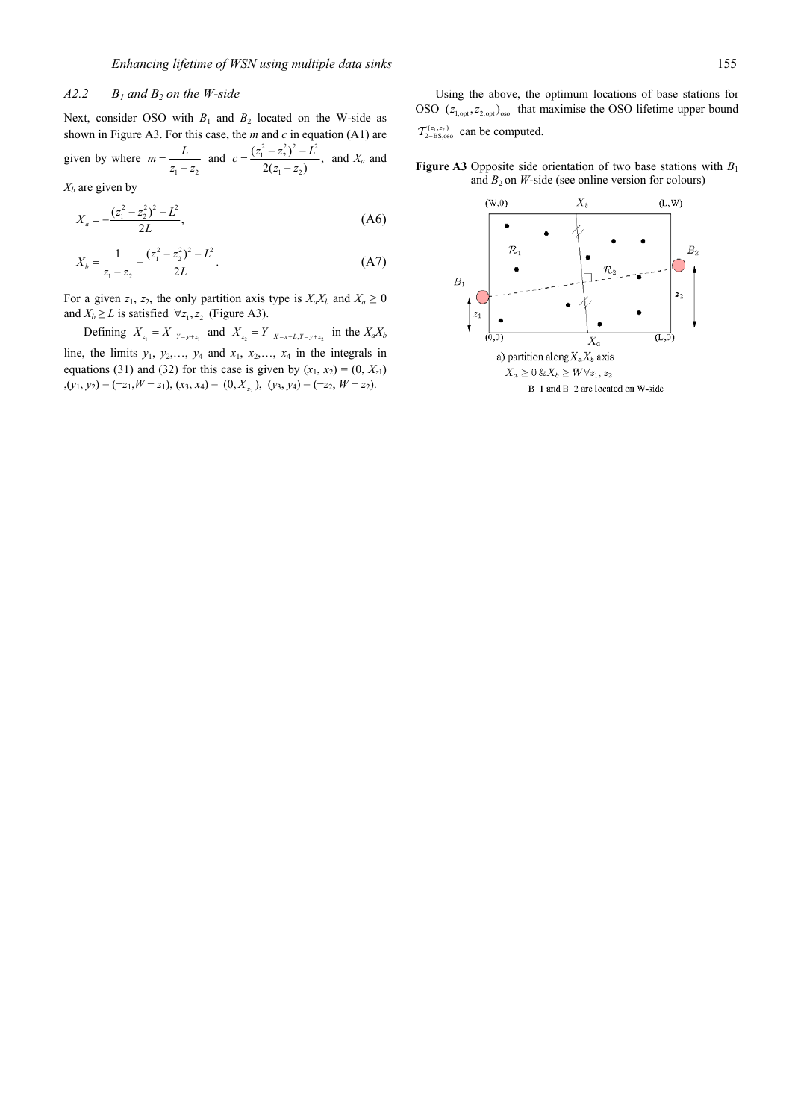## $A2.2$   $B_1$  and  $B_2$  on the W-side

Next, consider OSO with  $B_1$  and  $B_2$  located on the W-side as shown in Figure A3. For this case, the *m* and *c* in equation (A1) are given by where  $m = \frac{L}{z_1 - z_2}$  and  $c = \frac{(z_1^2 - z_2^2)^2 - L^2}{2(z_1 - z_2)}$  $c = \frac{(z_1^2 - z_2^2)^2 - L^2}{2(z_1 - z_2)}$ , and  $X_a$  and

 $X_b$  are given by

$$
X_a = -\frac{(z_1^2 - z_2^2)^2 - L^2}{2L},\tag{A6}
$$

$$
X_b = \frac{1}{z_1 - z_2} - \frac{(z_1^2 - z_2^2)^2 - L^2}{2L}.
$$
 (A7)

For a given  $z_1$ ,  $z_2$ , the only partition axis type is  $X_a X_b$  and  $X_a \ge 0$ and  $X_b \ge L$  is satisfied  $\forall z_1, z_2$  (Figure A3).

Defining  $X_{z_1} = X|_{Y=y+z_1}$  and  $X_{z_2} = Y|_{X=x+L, Y=y+z_2}$  in the  $X_a X_b$ line, the limits  $y_1, y_2,..., y_4$  and  $x_1, x_2,..., x_4$  in the integrals in equations (31) and (32) for this case is given by  $(x_1, x_2) = (0, X_{z1})$  $(x_1, y_2) = (-z_1, W - z_1), (x_3, x_4) = (0, X_{z_2}), (y_3, y_4) = (-z_2, W - z_2).$ 

Using the above, the optimum locations of base stations for OSO  $(z_{1,\text{opt}}, z_{2,\text{opt}})_{\text{osc}}$  that maximise the OSO lifetime upper bound

 $\mathcal{T}_{2-BS, oso}^{(z_1, z_2)}$  can be computed.

**Figure A3** Opposite side orientation of two base stations with  $B_1$ and  $B_2$  on *W*-side (see online version for colours)

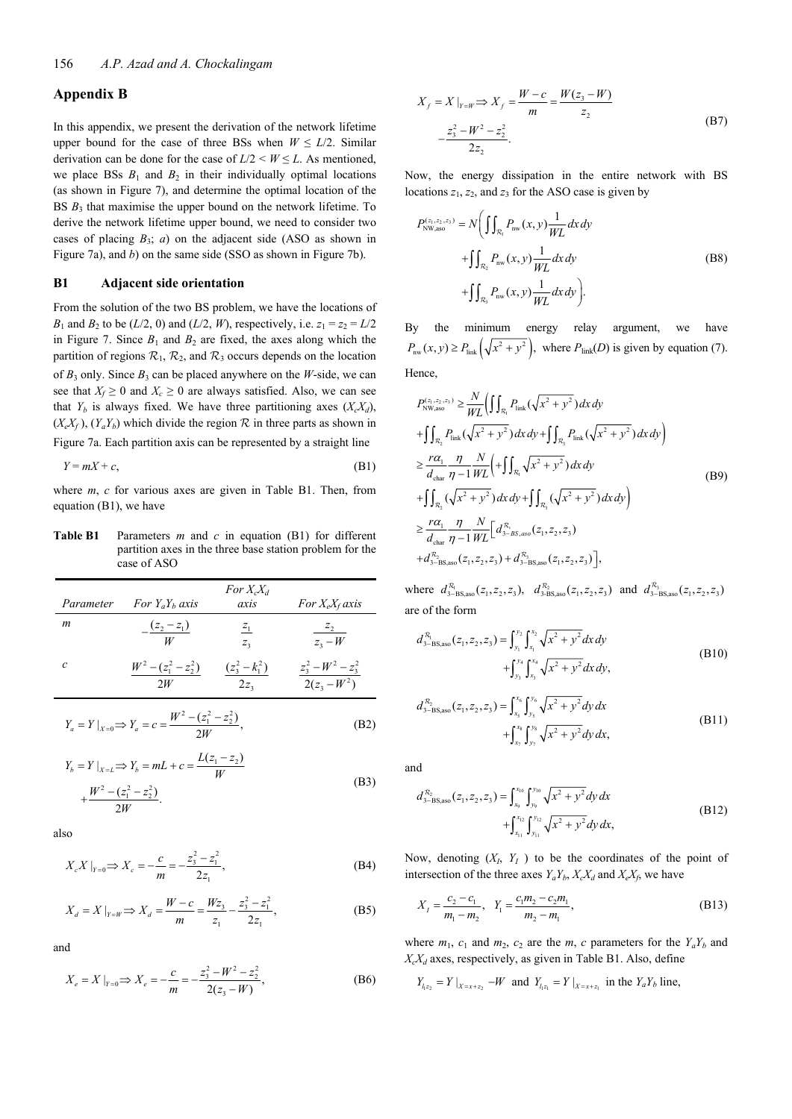## **Appendix B**

In this appendix, we present the derivation of the network lifetime upper bound for the case of three BSs when  $W \le L/2$ . Similar derivation can be done for the case of  $L/2 \leq W \leq L$ . As mentioned, we place BSs  $B_1$  and  $B_2$  in their individually optimal locations (as shown in Figure 7), and determine the optimal location of the BS  $B_3$  that maximise the upper bound on the network lifetime. To derive the network lifetime upper bound, we need to consider two cases of placing  $B_3$ ; *a*) on the adjacent side (ASO as shown in Figure 7a), and *b*) on the same side (SSO as shown in Figure 7b).

## **B1 Adjacent side orientation**

From the solution of the two BS problem, we have the locations of *B*<sub>1</sub> and *B*<sub>2</sub> to be (*L*/2, 0) and (*L*/2, *W*), respectively, i.e.  $z_1 = z_2 = L/2$ in Figure 7. Since  $B_1$  and  $B_2$  are fixed, the axes along which the partition of regions  $\mathcal{R}_1$ ,  $\mathcal{R}_2$ , and  $\mathcal{R}_3$  occurs depends on the location of  $B_3$  only. Since  $B_3$  can be placed anywhere on the *W*-side, we can see that  $X_f \geq 0$  and  $X_c \geq 0$  are always satisfied. Also, we can see that  $Y_b$  is always fixed. We have three partitioning axes  $(X_c X_d)$ ,  $(X_eX_f)$ ,  $(Y_aY_b)$  which divide the region  $R$  in three parts as shown in Figure 7a. Each partition axis can be represented by a straight line

$$
Y = mX + c,\tag{B1}
$$

where *m*, *c* for various axes are given in Table B1. Then, from equation (B1), we have

**Table B1** Parameters *m* and *c* in equation (B1) for different partition axes in the three base station problem for the case of ASO

| Parameter | For $Y_aY_b$ axis                 | For $X_c X_d$<br>axis | For $X_eX_f$ axis |
|-----------|-----------------------------------|-----------------------|-------------------|
| m         | $(z_2 - z_1)$                     | $\frac{z_1}{z_1}$     | $z_{2}$           |
|           | W                                 | $Z_{3}$               | $z_2-W$           |
| c         | $W^{2} - (z_{1}^{2} - z_{2}^{2})$ | $(z_3^2 - k_1^2)$     | $z_3^2-W^2-z_3^2$ |
|           | 2W                                | 2z <sub>3</sub>       | $2(z_3-W^2)$      |

$$
Y_a = Y \big|_{X=0} \Longrightarrow Y_a = c = \frac{W^2 - (z_1^2 - z_2^2)}{2W},
$$
 (B2)

$$
Y_b = Y \mid_{X=L} \Rightarrow Y_b = mL + c = \frac{L(z_1 - z_2)}{W}
$$
\n
$$
W^2 \quad (z^2 \quad z^2)
$$
\n(B3)

$$
+\frac{W^2-(z_1^2-z_2^2)}{2W}.
$$

also

$$
X_c X|_{Y=0} \Rightarrow X_c = -\frac{c}{m} = -\frac{z_3^2 - z_1^2}{2z_1},
$$
\n(B4)

$$
X_d = X \big|_{Y=W} \Longrightarrow X_d = \frac{W - c}{m} = \frac{Wz_3}{z_1} - \frac{z_3^2 - z_1^2}{2z_1},
$$
 (B5)

and

$$
X_e = X|_{Y=0} \Longrightarrow X_e = -\frac{c}{m} = -\frac{z_3^2 - W^2 - z_2^2}{2(z_3 - W)},
$$
(B6)

$$
X_f = X \mid_{Y=W} \Rightarrow X_f = \frac{W - c}{m} = \frac{W(z_3 - W)}{z_2}
$$
  

$$
-\frac{z_3^2 - W^2 - z_2^2}{2z_2}.
$$
 (B7)

Now, the energy dissipation in the entire network with BS locations  $z_1$ ,  $z_2$ , and  $z_3$  for the ASO case is given by

$$
P_{\text{NW,aso}}^{(z_1, z_2, z_3)} = N \bigg( \iint_{\mathcal{R}_1} P_{\text{nw}}(x, y) \frac{1}{WL} dx dy + \iint_{\mathcal{R}_2} P_{\text{nw}}(x, y) \frac{1}{WL} dx dy + \iint_{\mathcal{R}_3} P_{\text{nw}}(x, y) \frac{1}{WL} dx dy \bigg).
$$
 (B8)

By the minimum energy relay argument, we have  $P_{\text{nw}}(x, y) \ge P_{\text{link}}\left(\sqrt{x^2 + y^2}\right)$ , where  $P_{\text{link}}(D)$  is given by equation (7). Hence,

$$
P_{\text{NW,aso}}^{(z_1, z_2, z_3)} \geq \frac{N}{WL} \Big( \int \int_{\mathcal{R}_1} P_{\text{link}} (\sqrt{x^2 + y^2}) \, dx \, dy + \int \int_{\mathcal{R}_2} P_{\text{link}} (\sqrt{x^2 + y^2}) \, dx \, dy + \int \int_{\mathcal{R}_3} P_{\text{link}} (\sqrt{x^2 + y^2}) \, dx \, dy \Big) \n\geq \frac{r\alpha_1}{d_{\text{char}}} \frac{\eta}{\eta - 1} \frac{N}{WL} \Big( + \int \int_{\mathcal{R}_1} \sqrt{x^2 + y^2} \, dx \, dy + \int \int_{\mathcal{R}_2} (\sqrt{x^2 + y^2}) \, dx \, dy + \int \int_{\mathcal{R}_3} (\sqrt{x^2 + y^2}) \, dx \, dy \Big) \n\geq \frac{r\alpha_1}{d_{\text{char}}} \frac{\eta}{\eta - 1} \frac{N}{WL} \Big[ d_{3-BS,aso}^{\mathcal{R}_1}(z_1, z_2, z_3) + d_{3-BS,aso}^{\mathcal{R}_3}(z_1, z_2, z_3) + d_{3-BS,aso}^{\mathcal{R}_3}(z_1, z_2, z_3) \Big],
$$
\n(By)

where  $d_{3-{\rm BS},\rm aso}^{R_1}(z_1,z_2,z_3)$ ,  $d_{3-{\rm BS},\rm aso}^{R_2}(z_1,z_2,z_3)$  and  $d_{3-{\rm BS},\rm aso}^{R_3}(z_1,z_2,z_3)$ are of the form

$$
d_{3-BS, \text{aso}}^{R_1}(z_1, z_2, z_3) = \int_{y_1}^{y_2} \int_{x_1}^{x_2} \sqrt{x^2 + y^2} dx dy + \int_{y_3}^{y_4} \int_{x_3}^{x_4} \sqrt{x^2 + y^2} dx dy,
$$
 (B10)

$$
d_{3-BS, \text{aso}}^{R_2}(z_1, z_2, z_3) = \int_{x_5}^{x_6} \int_{y_5}^{y_6} \sqrt{x^2 + y^2} \, dy \, dx
$$
  
+ 
$$
\int_{x_7}^{x_8} \int_{y_7}^{y_8} \sqrt{x^2 + y^2} \, dy \, dx,
$$
 (B11)

and

$$
d_{3-\text{BS,aso}}^{R_2}(z_1, z_2, z_3) = \int_{x_9}^{x_{10}} \int_{y_9}^{y_{10}} \sqrt{x^2 + y^2} dy dx
$$
  
+ 
$$
\int_{x_{11}}^{x_{12}} \int_{y_{11}}^{y_{12}} \sqrt{x^2 + y^2} dy dx,
$$
 (B12)

Now, denoting  $(X_I, Y_I)$  to be the coordinates of the point of intersection of the three axes  $Y_a Y_b$ ,  $X_c X_d$  and  $X_e X_f$ , we have

$$
X_{I} = \frac{c_{2} - c_{1}}{m_{1} - m_{2}}, \quad Y_{1} = \frac{c_{1}m_{2} - c_{2}m_{1}}{m_{2} - m_{1}},
$$
(B13)

where  $m_1$ ,  $c_1$  and  $m_2$ ,  $c_2$  are the  $m$ ,  $c$  parameters for the  $Y_a Y_b$  and  $X_cX_d$  axes, respectively, as given in Table B1. Also, define

$$
Y_{l_{1}z_{2}} = Y|_{X=x+z_{2}} - W
$$
 and  $Y_{l_{1}z_{1}} = Y|_{X=x+z_{1}}$  in the  $Y_{a}Y_{b}$  line,